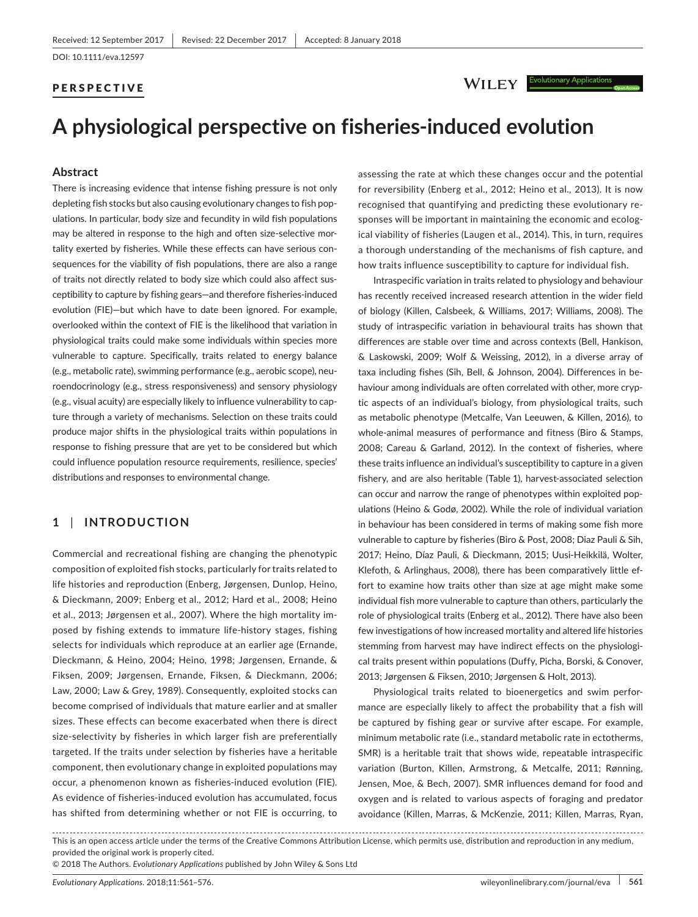#### PERSPECTIVE

# **A physiological perspective on fisheries-induced evolution**

#### **Abstract**

There is increasing evidence that intense fishing pressure is not only depleting fish stocks but also causing evolutionary changes to fish populations. In particular, body size and fecundity in wild fish populations may be altered in response to the high and often size-selective mortality exerted by fisheries. While these effects can have serious consequences for the viability of fish populations, there are also a range of traits not directly related to body size which could also affect susceptibility to capture by fishing gears—and therefore fisheries-induced evolution (FIE)—but which have to date been ignored. For example, overlooked within the context of FIE is the likelihood that variation in physiological traits could make some individuals within species more vulnerable to capture. Specifically, traits related to energy balance (e.g., metabolic rate), swimming performance (e.g., aerobic scope), neuroendocrinology (e.g., stress responsiveness) and sensory physiology (e.g., visual acuity) are especially likely to influence vulnerability to capture through a variety of mechanisms. Selection on these traits could produce major shifts in the physiological traits within populations in response to fishing pressure that are yet to be considered but which could influence population resource requirements, resilience, species' distributions and responses to environmental change.

## **1** | **INTRODUCTION**

Commercial and recreational fishing are changing the phenotypic composition of exploited fish stocks, particularly for traits related to life histories and reproduction (Enberg, Jørgensen, Dunlop, Heino, & Dieckmann, 2009; Enberg et al., 2012; Hard et al., 2008; Heino et al., 2013; Jørgensen et al., 2007). Where the high mortality imposed by fishing extends to immature life-history stages, fishing selects for individuals which reproduce at an earlier age (Ernande, Dieckmann, & Heino, 2004; Heino, 1998; Jørgensen, Ernande, & Fiksen, 2009; Jørgensen, Ernande, Fiksen, & Dieckmann, 2006; Law, 2000; Law & Grey, 1989). Consequently, exploited stocks can become comprised of individuals that mature earlier and at smaller sizes. These effects can become exacerbated when there is direct size-selectivity by fisheries in which larger fish are preferentially targeted. If the traits under selection by fisheries have a heritable component, then evolutionary change in exploited populations may occur, a phenomenon known as fisheries-induced evolution (FIE). As evidence of fisheries-induced evolution has accumulated, focus has shifted from determining whether or not FIE is occurring, to

assessing the rate at which these changes occur and the potential for reversibility (Enberg et al., 2012; Heino et al., 2013). It is now recognised that quantifying and predicting these evolutionary responses will be important in maintaining the economic and ecological viability of fisheries (Laugen et al., 2014). This, in turn, requires a thorough understanding of the mechanisms of fish capture, and how traits influence susceptibility to capture for individual fish.

WILEY Evolutionary Applications

Intraspecific variation in traits related to physiology and behaviour has recently received increased research attention in the wider field of biology (Killen, Calsbeek, & Williams, 2017; Williams, 2008). The study of intraspecific variation in behavioural traits has shown that differences are stable over time and across contexts (Bell, Hankison, & Laskowski, 2009; Wolf & Weissing, 2012), in a diverse array of taxa including fishes (Sih, Bell, & Johnson, 2004). Differences in behaviour among individuals are often correlated with other, more cryptic aspects of an individual's biology, from physiological traits, such as metabolic phenotype (Metcalfe, Van Leeuwen, & Killen, 2016), to whole-animal measures of performance and fitness (Biro & Stamps, 2008; Careau & Garland, 2012). In the context of fisheries, where these traits influence an individual's susceptibility to capture in a given fishery, and are also heritable (Table 1), harvest-associated selection can occur and narrow the range of phenotypes within exploited populations (Heino & Godø, 2002). While the role of individual variation in behaviour has been considered in terms of making some fish more vulnerable to capture by fisheries (Biro & Post, 2008; Diaz Pauli & Sih, 2017; Heino, Díaz Pauli, & Dieckmann, 2015; Uusi-Heikkilä, Wolter, Klefoth, & Arlinghaus, 2008), there has been comparatively little effort to examine how traits other than size at age might make some individual fish more vulnerable to capture than others, particularly the role of physiological traits (Enberg et al., 2012). There have also been few investigations of how increased mortality and altered life histories stemming from harvest may have indirect effects on the physiological traits present within populations (Duffy, Picha, Borski, & Conover, 2013; Jørgensen & Fiksen, 2010; Jørgensen & Holt, 2013).

Physiological traits related to bioenergetics and swim performance are especially likely to affect the probability that a fish will be captured by fishing gear or survive after escape. For example, minimum metabolic rate (i.e., standard metabolic rate in ectotherms, SMR) is a heritable trait that shows wide, repeatable intraspecific variation (Burton, Killen, Armstrong, & Metcalfe, 2011; Rønning, Jensen, Moe, & Bech, 2007). SMR influences demand for food and oxygen and is related to various aspects of foraging and predator avoidance (Killen, Marras, & McKenzie, 2011; Killen, Marras, Ryan,

This is an open access article under the terms of the Creative Commons [Attribution](http://creativecommons.org/licenses/by/4.0/) License, which permits use, distribution and reproduction in any medium, provided the original work is properly cited.

© 2018 The Authors. *Evolutionary Applications* published by John Wiley & Sons Ltd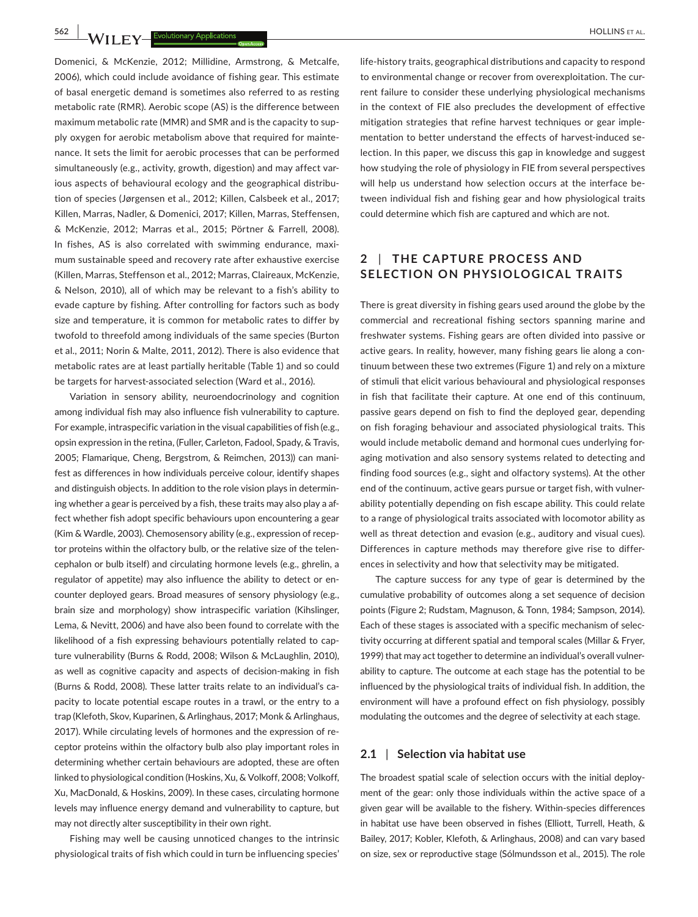**562 WILEY** Evolutionary Applications

Domenici, & McKenzie, 2012; Millidine, Armstrong, & Metcalfe, 2006), which could include avoidance of fishing gear. This estimate of basal energetic demand is sometimes also referred to as resting metabolic rate (RMR). Aerobic scope (AS) is the difference between maximum metabolic rate (MMR) and SMR and is the capacity to supply oxygen for aerobic metabolism above that required for maintenance. It sets the limit for aerobic processes that can be performed simultaneously (e.g., activity, growth, digestion) and may affect various aspects of behavioural ecology and the geographical distribution of species (Jørgensen et al., 2012; Killen, Calsbeek et al., 2017; Killen, Marras, Nadler, & Domenici, 2017; Killen, Marras, Steffensen, & McKenzie, 2012; Marras et al., 2015; Pörtner & Farrell, 2008). In fishes, AS is also correlated with swimming endurance, maximum sustainable speed and recovery rate after exhaustive exercise (Killen, Marras, Steffenson et al., 2012; Marras, Claireaux, McKenzie, & Nelson, 2010), all of which may be relevant to a fish's ability to evade capture by fishing. After controlling for factors such as body size and temperature, it is common for metabolic rates to differ by twofold to threefold among individuals of the same species (Burton et al., 2011; Norin & Malte, 2011, 2012). There is also evidence that metabolic rates are at least partially heritable (Table 1) and so could be targets for harvest-associated selection (Ward et al., 2016).

Variation in sensory ability, neuroendocrinology and cognition among individual fish may also influence fish vulnerability to capture. For example, intraspecific variation in the visual capabilities of fish (e.g., opsin expression in the retina, (Fuller, Carleton, Fadool, Spady, & Travis, 2005; Flamarique, Cheng, Bergstrom, & Reimchen, 2013)) can manifest as differences in how individuals perceive colour, identify shapes and distinguish objects. In addition to the role vision plays in determining whether a gear is perceived by a fish, these traits may also play a affect whether fish adopt specific behaviours upon encountering a gear (Kim & Wardle, 2003). Chemosensory ability (e.g., expression of receptor proteins within the olfactory bulb, or the relative size of the telencephalon or bulb itself) and circulating hormone levels (e.g., ghrelin, a regulator of appetite) may also influence the ability to detect or encounter deployed gears. Broad measures of sensory physiology (e.g., brain size and morphology) show intraspecific variation (Kihslinger, Lema, & Nevitt, 2006) and have also been found to correlate with the likelihood of a fish expressing behaviours potentially related to capture vulnerability (Burns & Rodd, 2008; Wilson & McLaughlin, 2010), as well as cognitive capacity and aspects of decision-making in fish (Burns & Rodd, 2008). These latter traits relate to an individual's capacity to locate potential escape routes in a trawl, or the entry to a trap (Klefoth, Skov, Kuparinen, & Arlinghaus, 2017; Monk & Arlinghaus, 2017). While circulating levels of hormones and the expression of receptor proteins within the olfactory bulb also play important roles in determining whether certain behaviours are adopted, these are often linked to physiological condition (Hoskins, Xu, & Volkoff, 2008; Volkoff, Xu, MacDonald, & Hoskins, 2009). In these cases, circulating hormone levels may influence energy demand and vulnerability to capture, but may not directly alter susceptibility in their own right.

Fishing may well be causing unnoticed changes to the intrinsic physiological traits of fish which could in turn be influencing species' life-history traits, geographical distributions and capacity to respond to environmental change or recover from overexploitation. The current failure to consider these underlying physiological mechanisms in the context of FIE also precludes the development of effective mitigation strategies that refine harvest techniques or gear implementation to better understand the effects of harvest-induced selection. In this paper, we discuss this gap in knowledge and suggest how studying the role of physiology in FIE from several perspectives will help us understand how selection occurs at the interface between individual fish and fishing gear and how physiological traits could determine which fish are captured and which are not.

## **2** | **THE C APTURE PROCESS AND SELECTION ON PHYSIOLOGICAL TRAITS**

There is great diversity in fishing gears used around the globe by the commercial and recreational fishing sectors spanning marine and freshwater systems. Fishing gears are often divided into passive or active gears. In reality, however, many fishing gears lie along a continuum between these two extremes (Figure 1) and rely on a mixture of stimuli that elicit various behavioural and physiological responses in fish that facilitate their capture. At one end of this continuum, passive gears depend on fish to find the deployed gear, depending on fish foraging behaviour and associated physiological traits. This would include metabolic demand and hormonal cues underlying foraging motivation and also sensory systems related to detecting and finding food sources (e.g., sight and olfactory systems). At the other end of the continuum, active gears pursue or target fish, with vulnerability potentially depending on fish escape ability. This could relate to a range of physiological traits associated with locomotor ability as well as threat detection and evasion (e.g., auditory and visual cues). Differences in capture methods may therefore give rise to differences in selectivity and how that selectivity may be mitigated.

The capture success for any type of gear is determined by the cumulative probability of outcomes along a set sequence of decision points (Figure 2; Rudstam, Magnuson, & Tonn, 1984; Sampson, 2014). Each of these stages is associated with a specific mechanism of selectivity occurring at different spatial and temporal scales (Millar & Fryer, 1999) that may act together to determine an individual's overall vulnerability to capture. The outcome at each stage has the potential to be influenced by the physiological traits of individual fish. In addition, the environment will have a profound effect on fish physiology, possibly modulating the outcomes and the degree of selectivity at each stage.

#### **2.1** | **Selection via habitat use**

The broadest spatial scale of selection occurs with the initial deployment of the gear: only those individuals within the active space of a given gear will be available to the fishery. Within-species differences in habitat use have been observed in fishes (Elliott, Turrell, Heath, & Bailey, 2017; Kobler, Klefoth, & Arlinghaus, 2008) and can vary based on size, sex or reproductive stage (Sólmundsson et al., 2015). The role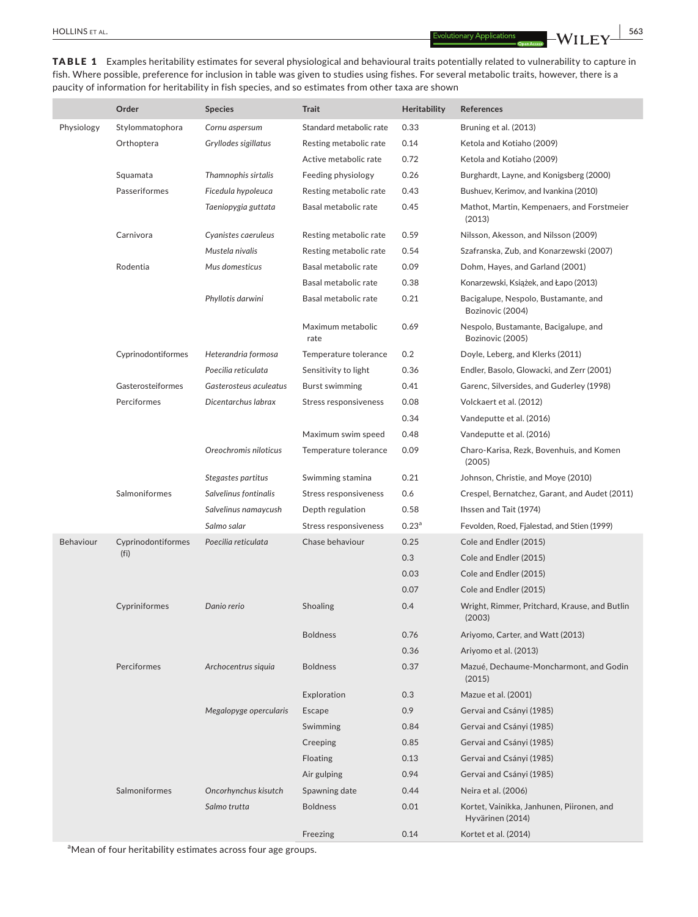TABLE 1 Examples heritability estimates for several physiological and behavioural traits potentially related to vulnerability to capture in fish. Where possible, preference for inclusion in table was given to studies using fishes. For several metabolic traits, however, there is a paucity of information for heritability in fish species, and so estimates from other taxa are shown

|                  | Order              | <b>Species</b>         | <b>Trait</b>              | <b>Heritability</b> | <b>References</b>                                             |
|------------------|--------------------|------------------------|---------------------------|---------------------|---------------------------------------------------------------|
| Physiology       | Stylommatophora    | Cornu aspersum         | Standard metabolic rate   | 0.33                | Bruning et al. (2013)                                         |
|                  | Orthoptera         | Gryllodes sigillatus   | Resting metabolic rate    | 0.14                | Ketola and Kotiaho (2009)                                     |
|                  |                    |                        | Active metabolic rate     | 0.72                | Ketola and Kotiaho (2009)                                     |
|                  | Squamata           | Thamnophis sirtalis    | Feeding physiology        | 0.26                | Burghardt, Layne, and Konigsberg (2000)                       |
|                  | Passeriformes      | Ficedula hypoleuca     | Resting metabolic rate    | 0.43                | Bushuev, Kerimov, and Ivankina (2010)                         |
|                  |                    | Taeniopygia guttata    | Basal metabolic rate      | 0.45                | Mathot, Martin, Kempenaers, and Forstmeier                    |
|                  |                    |                        |                           |                     | (2013)                                                        |
|                  | Carnivora          | Cyanistes caeruleus    | Resting metabolic rate    | 0.59                | Nilsson, Akesson, and Nilsson (2009)                          |
|                  |                    | Mustela nivalis        | Resting metabolic rate    | 0.54                | Szafranska, Zub, and Konarzewski (2007)                       |
|                  | Rodentia           | Mus domesticus         | Basal metabolic rate      | 0.09                | Dohm, Hayes, and Garland (2001)                               |
|                  |                    |                        | Basal metabolic rate      | 0.38                | Konarzewski, Książek, and Łapo (2013)                         |
|                  |                    | Phyllotis darwini      | Basal metabolic rate      | 0.21                | Bacigalupe, Nespolo, Bustamante, and<br>Bozinovic (2004)      |
|                  |                    |                        | Maximum metabolic<br>rate | 0.69                | Nespolo, Bustamante, Bacigalupe, and<br>Bozinovic (2005)      |
|                  | Cyprinodontiformes | Heterandria formosa    | Temperature tolerance     | 0.2                 | Doyle, Leberg, and Klerks (2011)                              |
|                  |                    | Poecilia reticulata    | Sensitivity to light      | 0.36                | Endler, Basolo, Glowacki, and Zerr (2001)                     |
|                  | Gasterosteiformes  | Gasterosteus aculeatus | <b>Burst swimming</b>     | 0.41                | Garenc, Silversides, and Guderley (1998)                      |
|                  | Perciformes        | Dicentarchus labrax    | Stress responsiveness     | 0.08                | Volckaert et al. (2012)                                       |
|                  |                    |                        |                           | 0.34                | Vandeputte et al. (2016)                                      |
|                  |                    |                        | Maximum swim speed        | 0.48                | Vandeputte et al. (2016)                                      |
|                  |                    | Oreochromis niloticus  | Temperature tolerance     | 0.09                | Charo-Karisa, Rezk, Bovenhuis, and Komen<br>(2005)            |
|                  |                    | Stegastes partitus     | Swimming stamina          | 0.21                | Johnson, Christie, and Moye (2010)                            |
|                  | Salmoniformes      | Salvelinus fontinalis  | Stress responsiveness     | 0.6                 | Crespel, Bernatchez, Garant, and Audet (2011)                 |
|                  |                    | Salvelinus namaycush   | Depth regulation          | 0.58                | Ihssen and Tait (1974)                                        |
|                  |                    | Salmo salar            | Stress responsiveness     | 0.23 <sup>a</sup>   | Fevolden, Roed, Fjalestad, and Stien (1999)                   |
| <b>Behaviour</b> | Cyprinodontiformes | Poecilia reticulata    | Chase behaviour           | 0.25                | Cole and Endler (2015)                                        |
|                  | (f <sub>i</sub> )  |                        |                           | 0.3                 | Cole and Endler (2015)                                        |
|                  |                    |                        |                           | 0.03                | Cole and Endler (2015)                                        |
|                  |                    |                        |                           | 0.07                | Cole and Endler (2015)                                        |
|                  | Cypriniformes      | Danio rerio            | Shoaling                  | 0.4                 | Wright, Rimmer, Pritchard, Krause, and Butlin<br>(2003)       |
|                  |                    |                        | <b>Boldness</b>           | 0.76                | Ariyomo, Carter, and Watt (2013)                              |
|                  |                    |                        |                           | 0.36                | Ariyomo et al. (2013)                                         |
|                  | Perciformes        | Archocentrus siquia    | <b>Boldness</b>           | 0.37                | Mazué, Dechaume-Moncharmont, and Godin<br>(2015)              |
|                  |                    |                        | Exploration               | 0.3                 | Mazue et al. (2001)                                           |
|                  |                    | Megalopyge opercularis | Escape                    | 0.9                 | Gervai and Csányi (1985)                                      |
|                  |                    |                        | Swimming                  | 0.84                | Gervai and Csányi (1985)                                      |
|                  |                    |                        | Creeping                  | 0.85                | Gervai and Csányi (1985)                                      |
|                  |                    |                        | Floating                  | 0.13                | Gervai and Csányi (1985)                                      |
|                  |                    |                        | Air gulping               | 0.94                | Gervai and Csányi (1985)                                      |
|                  | Salmoniformes      | Oncorhynchus kisutch   | Spawning date             | 0.44                | Neira et al. (2006)                                           |
|                  |                    | Salmo trutta           | <b>Boldness</b>           | 0.01                | Kortet, Vainikka, Janhunen, Piironen, and<br>Hyvärinen (2014) |
|                  |                    |                        | Freezing                  | 0.14                | Kortet et al. (2014)                                          |

<sup>a</sup>Mean of four heritability estimates across four age groups.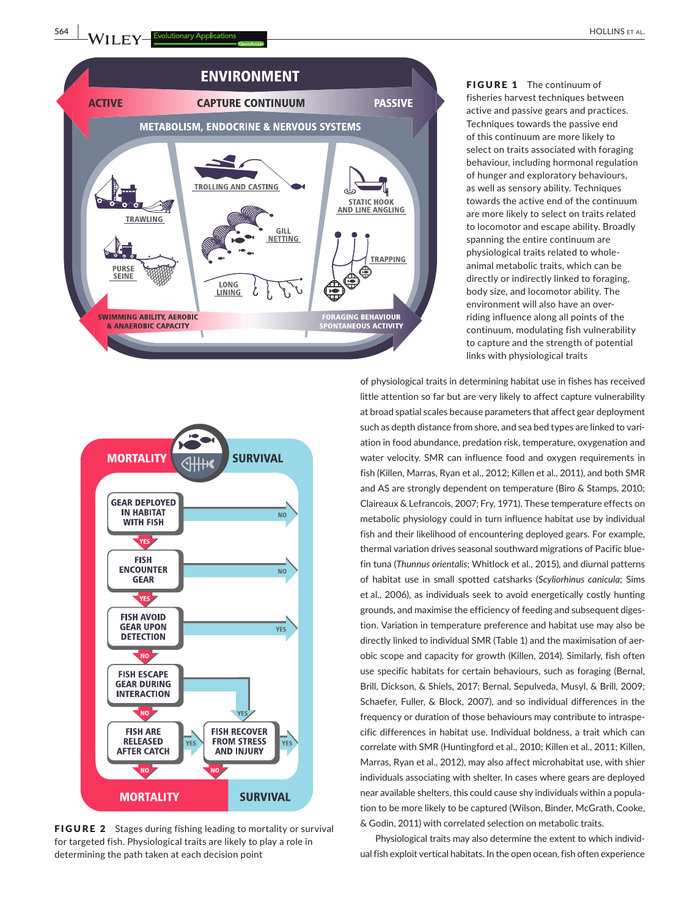

FIGURE 1 The continuum of fisheries harvest techniques between active and passive gears and practices. Techniques towards the passive end of this continuum are more likely to select on traits associated with foraging behaviour, including hormonal regulation of hunger and exploratory behaviours, as well as sensory ability. Techniques towards the active end of the continuum are more likely to select on traits related to locomotor and escape ability. Broadly spanning the entire continuum are physiological traits related to wholeanimal metabolic traits, which can be directly or indirectly linked to foraging, body size, and locomotor ability. The environment will also have an overriding influence along all points of the continuum, modulating fish vulnerability to capture and the strength of potential links with physiological traits



FIGURE 2 Stages during fishing leading to mortality or survival for targeted fish. Physiological traits are likely to play a role in determining the path taken at each decision point

of physiological traits in determining habitat use in fishes has received little attention so far but are very likely to affect capture vulnerability at broad spatial scales because parameters that affect gear deployment such as depth distance from shore, and sea bed types are linked to variation in food abundance, predation risk, temperature, oxygenation and water velocity. SMR can influence food and oxygen requirements in fish (Killen, Marras, Ryan et al., 2012; Killen et al., 2011), and both SMR and AS are strongly dependent on temperature (Biro & Stamps, 2010; Claireaux & Lefrancois, 2007; Fry, 1971). These temperature effects on metabolic physiology could in turn influence habitat use by individual fish and their likelihood of encountering deployed gears. For example, thermal variation drives seasonal southward migrations of Pacific bluefin tuna (*Thunnus orientalis*; Whitlock et al., 2015), and diurnal patterns of habitat use in small spotted catsharks (*Scyliorhinus canicula*; Sims et al., 2006), as individuals seek to avoid energetically costly hunting grounds, and maximise the efficiency of feeding and subsequent digestion. Variation in temperature preference and habitat use may also be directly linked to individual SMR (Table 1) and the maximisation of aerobic scope and capacity for growth (Killen, 2014). Similarly, fish often use specific habitats for certain behaviours, such as foraging (Bernal, Brill, Dickson, & Shiels, 2017; Bernal, Sepulveda, Musyl, & Brill, 2009; Schaefer, Fuller, & Block, 2007), and so individual differences in the frequency or duration of those behaviours may contribute to intraspecific differences in habitat use. Individual boldness, a trait which can correlate with SMR (Huntingford et al., 2010; Killen et al., 2011; Killen, Marras, Ryan et al., 2012), may also affect microhabitat use, with shier individuals associating with shelter. In cases where gears are deployed near available shelters, this could cause shy individuals within a population to be more likely to be captured (Wilson, Binder, McGrath, Cooke, & Godin, 2011) with correlated selection on metabolic traits.

Physiological traits may also determine the extent to which individual fish exploit vertical habitats. In the open ocean, fish often experience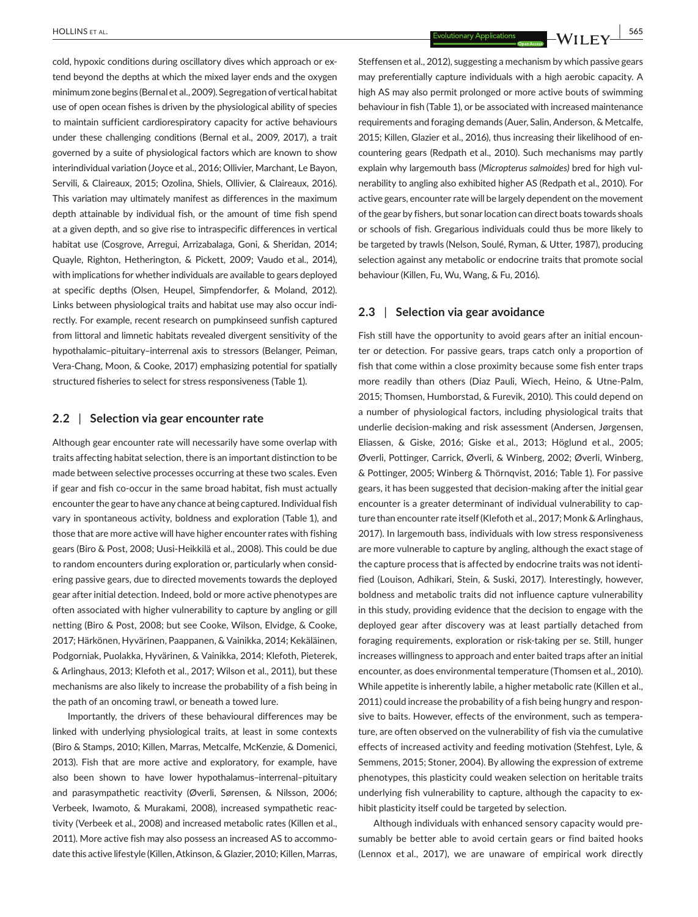cold, hypoxic conditions during oscillatory dives which approach or extend beyond the depths at which the mixed layer ends and the oxygen minimum zone begins (Bernal et al.,2009). Segregation of vertical habitat use of open ocean fishes is driven by the physiological ability of species to maintain sufficient cardiorespiratory capacity for active behaviours under these challenging conditions (Bernal et al., 2009, 2017), a trait governed by a suite of physiological factors which are known to show interindividual variation (Joyce et al., 2016; Ollivier, Marchant, Le Bayon, Servili, & Claireaux, 2015; Ozolina, Shiels, Ollivier, & Claireaux, 2016). This variation may ultimately manifest as differences in the maximum depth attainable by individual fish, or the amount of time fish spend at a given depth, and so give rise to intraspecific differences in vertical habitat use (Cosgrove, Arregui, Arrizabalaga, Goni, & Sheridan, 2014; Quayle, Righton, Hetherington, & Pickett, 2009; Vaudo et al., 2014), with implications for whether individuals are available to gears deployed at specific depths (Olsen, Heupel, Simpfendorfer, & Moland, 2012). Links between physiological traits and habitat use may also occur indirectly. For example, recent research on pumpkinseed sunfish captured from littoral and limnetic habitats revealed divergent sensitivity of the hypothalamic–pituitary–interrenal axis to stressors (Belanger, Peiman, Vera-Chang, Moon, & Cooke, 2017) emphasizing potential for spatially structured fisheries to select for stress responsiveness (Table 1).

#### **2.2** | **Selection via gear encounter rate**

Although gear encounter rate will necessarily have some overlap with traits affecting habitat selection, there is an important distinction to be made between selective processes occurring at these two scales. Even if gear and fish co-occur in the same broad habitat, fish must actually encounter the gear to have any chance at being captured. Individual fish vary in spontaneous activity, boldness and exploration (Table 1), and those that are more active will have higher encounter rates with fishing gears (Biro & Post, 2008; Uusi-Heikkilä et al., 2008). This could be due to random encounters during exploration or, particularly when considering passive gears, due to directed movements towards the deployed gear after initial detection. Indeed, bold or more active phenotypes are often associated with higher vulnerability to capture by angling or gill netting (Biro & Post, 2008; but see Cooke, Wilson, Elvidge, & Cooke, 2017; Härkönen, Hyvärinen, Paappanen, & Vainikka, 2014; Kekäläinen, Podgorniak, Puolakka, Hyvärinen, & Vainikka, 2014; Klefoth, Pieterek, & Arlinghaus, 2013; Klefoth et al., 2017; Wilson et al., 2011), but these mechanisms are also likely to increase the probability of a fish being in the path of an oncoming trawl, or beneath a towed lure.

Importantly, the drivers of these behavioural differences may be linked with underlying physiological traits, at least in some contexts (Biro & Stamps, 2010; Killen, Marras, Metcalfe, McKenzie, & Domenici, 2013). Fish that are more active and exploratory, for example, have also been shown to have lower hypothalamus–interrenal–pituitary and parasympathetic reactivity (Øverli, Sørensen, & Nilsson, 2006; Verbeek, Iwamoto, & Murakami, 2008), increased sympathetic reactivity (Verbeek et al., 2008) and increased metabolic rates (Killen et al., 2011). More active fish may also possess an increased AS to accommodate this active lifestyle (Killen, Atkinson, & Glazier, 2010; Killen, Marras,

 **|** HOLLINS et al. **565**

Steffensen et al., 2012), suggesting a mechanism by which passive gears may preferentially capture individuals with a high aerobic capacity. A high AS may also permit prolonged or more active bouts of swimming behaviour in fish (Table 1), or be associated with increased maintenance requirements and foraging demands (Auer, Salin, Anderson, & Metcalfe, 2015; Killen, Glazier et al., 2016), thus increasing their likelihood of encountering gears (Redpath et al., 2010). Such mechanisms may partly explain why largemouth bass (*Micropterus salmoides)* bred for high vulnerability to angling also exhibited higher AS (Redpath et al., 2010). For active gears, encounter rate will be largely dependent on the movement ofthe gear by fishers, but sonarlocation can direct boats towards shoals or schools of fish. Gregarious individuals could thus be more likely to be targeted by trawls (Nelson, Soulé, Ryman, & Utter, 1987), producing selection against any metabolic or endocrine traits that promote social behaviour (Killen, Fu, Wu, Wang, & Fu, 2016).

### **2.3** | **Selection via gear avoidance**

Fish still have the opportunity to avoid gears after an initial encounter or detection. For passive gears, traps catch only a proportion of fish that come within a close proximity because some fish enter traps more readily than others (Diaz Pauli, Wiech, Heino, & Utne-Palm, 2015; Thomsen, Humborstad, & Furevik, 2010). This could depend on a number of physiological factors, including physiological traits that underlie decision-making and risk assessment (Andersen, Jørgensen, Eliassen, & Giske, 2016; Giske et al., 2013; Höglund et al., 2005; Øverli, Pottinger, Carrick, Øverli, & Winberg, 2002; Øverli, Winberg, & Pottinger, 2005; Winberg & Thörnqvist, 2016; Table 1). For passive gears, it has been suggested that decision-making after the initial gear encounter is a greater determinant of individual vulnerability to capture than encounter rate itself (Klefoth et al., 2017; Monk & Arlinghaus, 2017). In largemouth bass, individuals with low stress responsiveness are more vulnerable to capture by angling, although the exact stage of the capture process that is affected by endocrine traits was not identified (Louison, Adhikari, Stein, & Suski, 2017). Interestingly, however, boldness and metabolic traits did not influence capture vulnerability in this study, providing evidence that the decision to engage with the deployed gear after discovery was at least partially detached from foraging requirements, exploration or risk-taking per se. Still, hunger increases willingness to approach and enter baited traps after an initial encounter, as does environmental temperature (Thomsen et al., 2010). While appetite is inherently labile, a higher metabolic rate (Killen et al., 2011) could increase the probability of a fish being hungry and responsive to baits. However, effects of the environment, such as temperature, are often observed on the vulnerability of fish via the cumulative effects of increased activity and feeding motivation (Stehfest, Lyle, & Semmens, 2015; Stoner, 2004). By allowing the expression of extreme phenotypes, this plasticity could weaken selection on heritable traits underlying fish vulnerability to capture, although the capacity to exhibit plasticity itself could be targeted by selection.

Although individuals with enhanced sensory capacity would presumably be better able to avoid certain gears or find baited hooks (Lennox et al., 2017), we are unaware of empirical work directly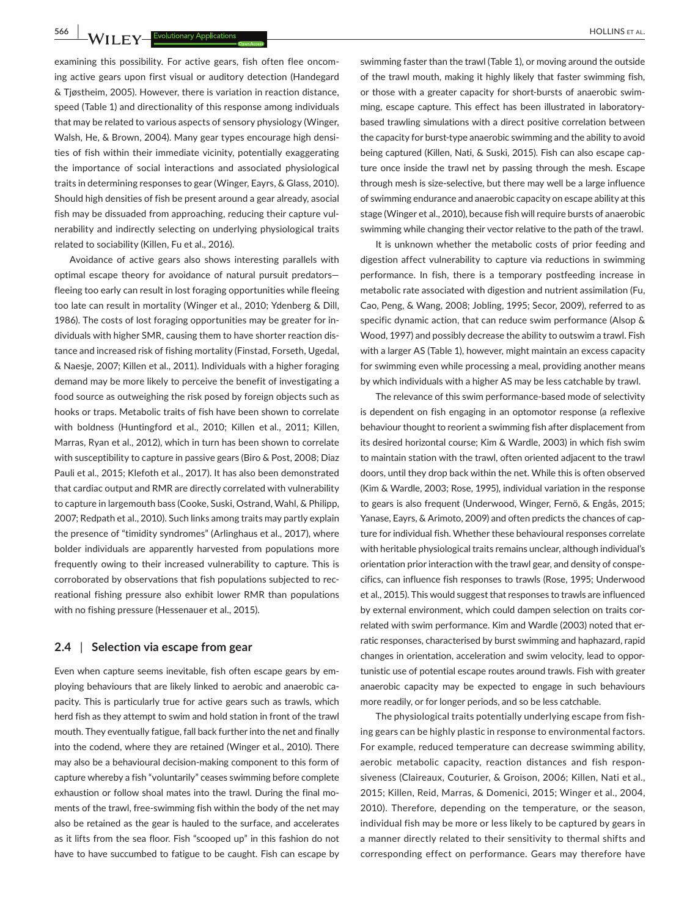**566 WII FY** Evolutionary Applications **and the contract of the COLLINS CTAL.** 

examining this possibility. For active gears, fish often flee oncoming active gears upon first visual or auditory detection (Handegard & Tjøstheim, 2005). However, there is variation in reaction distance, speed (Table 1) and directionality of this response among individuals that may be related to various aspects of sensory physiology (Winger, Walsh, He, & Brown, 2004). Many gear types encourage high densities of fish within their immediate vicinity, potentially exaggerating the importance of social interactions and associated physiological traits in determining responses to gear (Winger, Eayrs, & Glass, 2010). Should high densities of fish be present around a gear already, asocial fish may be dissuaded from approaching, reducing their capture vulnerability and indirectly selecting on underlying physiological traits related to sociability (Killen, Fu et al., 2016).

Avoidance of active gears also shows interesting parallels with optimal escape theory for avoidance of natural pursuit predators fleeing too early can result in lost foraging opportunities while fleeing too late can result in mortality (Winger et al., 2010; Ydenberg & Dill, 1986). The costs of lost foraging opportunities may be greater for individuals with higher SMR, causing them to have shorter reaction distance and increased risk of fishing mortality (Finstad, Forseth, Ugedal, & Naesje, 2007; Killen et al., 2011). Individuals with a higher foraging demand may be more likely to perceive the benefit of investigating a food source as outweighing the risk posed by foreign objects such as hooks or traps. Metabolic traits of fish have been shown to correlate with boldness (Huntingford et al., 2010; Killen et al., 2011; Killen, Marras, Ryan et al., 2012), which in turn has been shown to correlate with susceptibility to capture in passive gears (Biro & Post, 2008; Diaz Pauli et al., 2015; Klefoth et al., 2017). It has also been demonstrated that cardiac output and RMR are directly correlated with vulnerability to capture in largemouth bass (Cooke, Suski, Ostrand, Wahl, & Philipp, 2007; Redpath et al., 2010). Such links among traits may partly explain the presence of "timidity syndromes" (Arlinghaus et al., 2017), where bolder individuals are apparently harvested from populations more frequently owing to their increased vulnerability to capture. This is corroborated by observations that fish populations subjected to recreational fishing pressure also exhibit lower RMR than populations with no fishing pressure (Hessenauer et al., 2015).

#### **2.4** | **Selection via escape from gear**

Even when capture seems inevitable, fish often escape gears by employing behaviours that are likely linked to aerobic and anaerobic capacity. This is particularly true for active gears such as trawls, which herd fish as they attempt to swim and hold station in front of the trawl mouth. They eventually fatigue, fall back further into the net and finally into the codend, where they are retained (Winger et al., 2010). There may also be a behavioural decision-making component to this form of capture whereby a fish "voluntarily" ceases swimming before complete exhaustion or follow shoal mates into the trawl. During the final moments of the trawl, free-swimming fish within the body of the net may also be retained as the gear is hauled to the surface, and accelerates as it lifts from the sea floor. Fish "scooped up" in this fashion do not have to have succumbed to fatigue to be caught. Fish can escape by

swimming faster than the trawl (Table 1), or moving around the outside of the trawl mouth, making it highly likely that faster swimming fish, or those with a greater capacity for short-bursts of anaerobic swimming, escape capture. This effect has been illustrated in laboratorybased trawling simulations with a direct positive correlation between the capacity for burst-type anaerobic swimming and the ability to avoid being captured (Killen, Nati, & Suski, 2015). Fish can also escape capture once inside the trawl net by passing through the mesh. Escape through mesh is size-selective, but there may well be a large influence of swimming endurance and anaerobic capacity on escape ability atthis stage (Winger et al., 2010), because fish will require bursts of anaerobic swimming while changing their vector relative to the path of the trawl.

It is unknown whether the metabolic costs of prior feeding and digestion affect vulnerability to capture via reductions in swimming performance. In fish, there is a temporary postfeeding increase in metabolic rate associated with digestion and nutrient assimilation (Fu, Cao, Peng, & Wang, 2008; Jobling, 1995; Secor, 2009), referred to as specific dynamic action, that can reduce swim performance (Alsop & Wood, 1997) and possibly decrease the ability to outswim a trawl. Fish with a larger AS (Table 1), however, might maintain an excess capacity for swimming even while processing a meal, providing another means by which individuals with a higher AS may be less catchable by trawl.

The relevance of this swim performance-based mode of selectivity is dependent on fish engaging in an optomotor response (a reflexive behaviour thought to reorient a swimming fish after displacement from its desired horizontal course; Kim & Wardle, 2003) in which fish swim to maintain station with the trawl, often oriented adjacent to the trawl doors, until they drop back within the net. While this is often observed (Kim & Wardle, 2003; Rose, 1995), individual variation in the response to gears is also frequent (Underwood, Winger, Fernö, & Engås, 2015; Yanase, Eayrs, & Arimoto, 2009) and often predicts the chances of capture for individual fish. Whether these behavioural responses correlate with heritable physiological traits remains unclear, although individual's orientation prior interaction with the trawl gear, and density of conspecifics, can influence fish responses to trawls (Rose, 1995; Underwood et al., 2015). This would suggest that responses to trawls are influenced by external environment, which could dampen selection on traits correlated with swim performance. Kim and Wardle (2003) noted that erratic responses, characterised by burst swimming and haphazard, rapid changes in orientation, acceleration and swim velocity, lead to opportunistic use of potential escape routes around trawls. Fish with greater anaerobic capacity may be expected to engage in such behaviours more readily, or for longer periods, and so be less catchable.

The physiological traits potentially underlying escape from fishing gears can be highly plastic in response to environmental factors. For example, reduced temperature can decrease swimming ability, aerobic metabolic capacity, reaction distances and fish responsiveness (Claireaux, Couturier, & Groison, 2006; Killen, Nati et al., 2015; Killen, Reid, Marras, & Domenici, 2015; Winger et al., 2004, 2010). Therefore, depending on the temperature, or the season, individual fish may be more or less likely to be captured by gears in a manner directly related to their sensitivity to thermal shifts and corresponding effect on performance. Gears may therefore have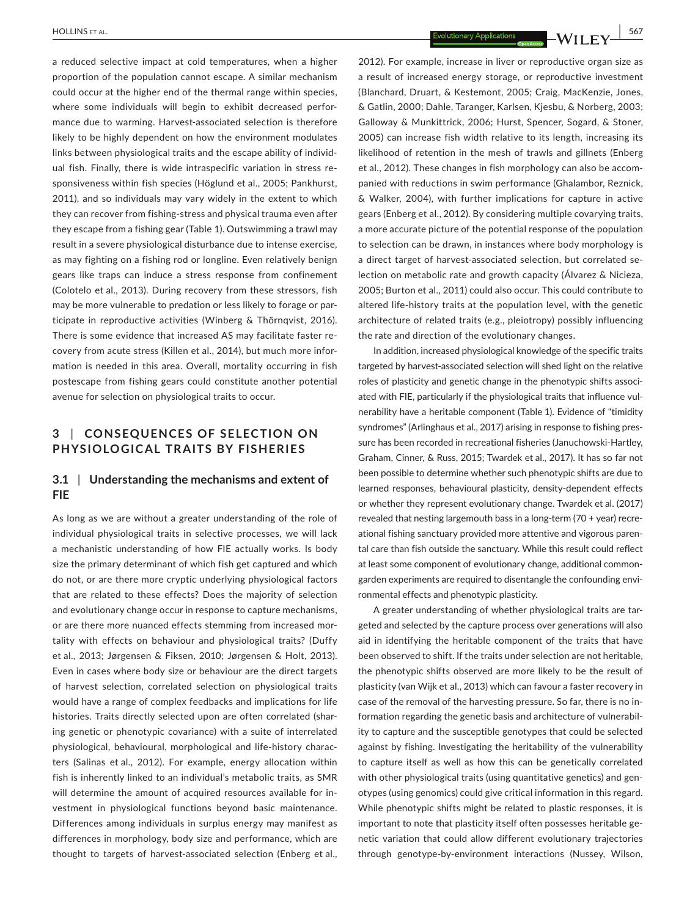a reduced selective impact at cold temperatures, when a higher proportion of the population cannot escape. A similar mechanism could occur at the higher end of the thermal range within species, where some individuals will begin to exhibit decreased performance due to warming. Harvest-associated selection is therefore likely to be highly dependent on how the environment modulates links between physiological traits and the escape ability of individual fish. Finally, there is wide intraspecific variation in stress responsiveness within fish species (Höglund et al., 2005; Pankhurst, 2011), and so individuals may vary widely in the extent to which they can recover from fishing-stress and physical trauma even after they escape from a fishing gear (Table 1). Outswimming a trawl may result in a severe physiological disturbance due to intense exercise, as may fighting on a fishing rod or longline. Even relatively benign gears like traps can induce a stress response from confinement (Colotelo et al., 2013). During recovery from these stressors, fish may be more vulnerable to predation or less likely to forage or participate in reproductive activities (Winberg & Thörnqvist, 2016). There is some evidence that increased AS may facilitate faster recovery from acute stress (Killen et al., 2014), but much more information is needed in this area. Overall, mortality occurring in fish postescape from fishing gears could constitute another potential avenue for selection on physiological traits to occur.

## **3** | **CONSEQUENCES OF SELEC TION ON PHYSIOLOGICAL TRAITS BY FISHERIES**

## **3.1** | **Understanding the mechanisms and extent of FIE**

As long as we are without a greater understanding of the role of individual physiological traits in selective processes, we will lack a mechanistic understanding of how FIE actually works. Is body size the primary determinant of which fish get captured and which do not, or are there more cryptic underlying physiological factors that are related to these effects? Does the majority of selection and evolutionary change occur in response to capture mechanisms, or are there more nuanced effects stemming from increased mortality with effects on behaviour and physiological traits? (Duffy et al., 2013; Jørgensen & Fiksen, 2010; Jørgensen & Holt, 2013). Even in cases where body size or behaviour are the direct targets of harvest selection, correlated selection on physiological traits would have a range of complex feedbacks and implications for life histories. Traits directly selected upon are often correlated (sharing genetic or phenotypic covariance) with a suite of interrelated physiological, behavioural, morphological and life-history characters (Salinas et al., 2012). For example, energy allocation within fish is inherently linked to an individual's metabolic traits, as SMR will determine the amount of acquired resources available for investment in physiological functions beyond basic maintenance. Differences among individuals in surplus energy may manifest as differences in morphology, body size and performance, which are thought to targets of harvest-associated selection (Enberg et al.,

 **|** HOLLINS et al. **567**

2012). For example, increase in liver or reproductive organ size as a result of increased energy storage, or reproductive investment (Blanchard, Druart, & Kestemont, 2005; Craig, MacKenzie, Jones, & Gatlin, 2000; Dahle, Taranger, Karlsen, Kjesbu, & Norberg, 2003; Galloway & Munkittrick, 2006; Hurst, Spencer, Sogard, & Stoner, 2005) can increase fish width relative to its length, increasing its likelihood of retention in the mesh of trawls and gillnets (Enberg et al., 2012). These changes in fish morphology can also be accompanied with reductions in swim performance (Ghalambor, Reznick, & Walker, 2004), with further implications for capture in active gears (Enberg et al., 2012). By considering multiple covarying traits, a more accurate picture of the potential response of the population to selection can be drawn, in instances where body morphology is a direct target of harvest-associated selection, but correlated selection on metabolic rate and growth capacity (Álvarez & Nicieza, 2005; Burton et al., 2011) could also occur. This could contribute to altered life-history traits at the population level, with the genetic architecture of related traits (e.g., pleiotropy) possibly influencing the rate and direction of the evolutionary changes.

In addition, increased physiological knowledge of the specific traits targeted by harvest-associated selection will shed light on the relative roles of plasticity and genetic change in the phenotypic shifts associated with FIE, particularly if the physiological traits that influence vulnerability have a heritable component (Table 1). Evidence of "timidity syndromes" (Arlinghaus et al., 2017) arising in response to fishing pressure has been recorded in recreational fisheries (Januchowski-Hartley, Graham, Cinner, & Russ, 2015; Twardek et al., 2017). It has so far not been possible to determine whether such phenotypic shifts are due to learned responses, behavioural plasticity, density-dependent effects or whether they represent evolutionary change. Twardek et al. (2017) revealed that nesting largemouth bass in a long-term (70 + year) recreational fishing sanctuary provided more attentive and vigorous parental care than fish outside the sanctuary. While this result could reflect at least some component of evolutionary change, additional commongarden experiments are required to disentangle the confounding environmental effects and phenotypic plasticity.

A greater understanding of whether physiological traits are targeted and selected by the capture process over generations will also aid in identifying the heritable component of the traits that have been observed to shift. If the traits under selection are not heritable, the phenotypic shifts observed are more likely to be the result of plasticity (van Wijk et al., 2013) which can favour a faster recovery in case of the removal of the harvesting pressure. So far, there is no information regarding the genetic basis and architecture of vulnerability to capture and the susceptible genotypes that could be selected against by fishing. Investigating the heritability of the vulnerability to capture itself as well as how this can be genetically correlated with other physiological traits (using quantitative genetics) and genotypes (using genomics) could give critical information in this regard. While phenotypic shifts might be related to plastic responses, it is important to note that plasticity itself often possesses heritable genetic variation that could allow different evolutionary trajectories through genotype-by-environment interactions (Nussey, Wilson,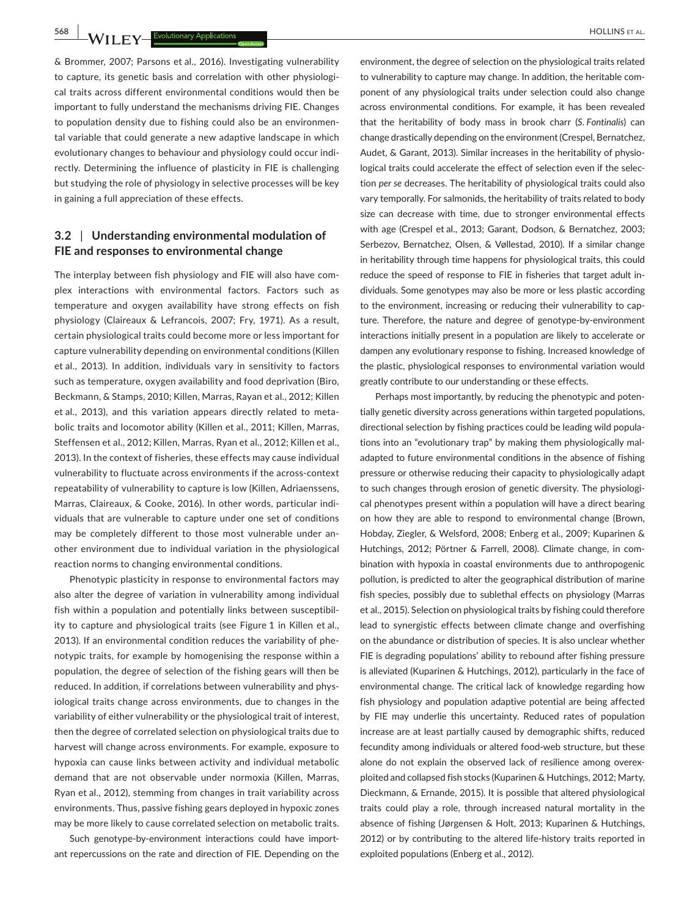**568 M/II EV** Evolutionary Applications

& Brommer, 2007; Parsons et al., 2016). Investigating vulnerability to capture, its genetic basis and correlation with other physiological traits across different environmental conditions would then be important to fully understand the mechanisms driving FIE. Changes to population density due to fishing could also be an environmental variable that could generate a new adaptive landscape in which evolutionary changes to behaviour and physiology could occur indirectly. Determining the influence of plasticity in FIE is challenging but studying the role of physiology in selective processes will be key in gaining a full appreciation of these effects.

## **3.2** | **Understanding environmental modulation of FIE and responses to environmental change**

The interplay between fish physiology and FIE will also have complex interactions with environmental factors. Factors such as temperature and oxygen availability have strong effects on fish physiology (Claireaux & Lefrancois, 2007; Fry, 1971). As a result, certain physiological traits could become more or less important for capture vulnerability depending on environmental conditions (Killen et al., 2013). In addition, individuals vary in sensitivity to factors such as temperature, oxygen availability and food deprivation (Biro, Beckmann, & Stamps, 2010; Killen, Marras, Rayan et al., 2012; Killen et al., 2013), and this variation appears directly related to metabolic traits and locomotor ability (Killen et al., 2011; Killen, Marras, Steffensen et al., 2012; Killen, Marras, Ryan et al., 2012; Killen et al., 2013). In the context of fisheries, these effects may cause individual vulnerability to fluctuate across environments if the across-context repeatability of vulnerability to capture is low (Killen, Adriaenssens, Marras, Claireaux, & Cooke, 2016). In other words, particular individuals that are vulnerable to capture under one set of conditions may be completely different to those most vulnerable under another environment due to individual variation in the physiological reaction norms to changing environmental conditions.

Phenotypic plasticity in response to environmental factors may also alter the degree of variation in vulnerability among individual fish within a population and potentially links between susceptibility to capture and physiological traits (see Figure 1 in Killen et al., 2013). If an environmental condition reduces the variability of phenotypic traits, for example by homogenising the response within a population, the degree of selection of the fishing gears will then be reduced. In addition, if correlations between vulnerability and physiological traits change across environments, due to changes in the variability of either vulnerability or the physiological trait of interest, then the degree of correlated selection on physiological traits due to harvest will change across environments. For example, exposure to hypoxia can cause links between activity and individual metabolic demand that are not observable under normoxia (Killen, Marras, Ryan et al., 2012), stemming from changes in trait variability across environments. Thus, passive fishing gears deployed in hypoxic zones may be more likely to cause correlated selection on metabolic traits.

Such genotype-by-environment interactions could have important repercussions on the rate and direction of FIE. Depending on the

environment, the degree of selection on the physiological traits related to vulnerability to capture may change. In addition, the heritable component of any physiological traits under selection could also change across environmental conditions. For example, it has been revealed that the heritability of body mass in brook charr (*S. Fontinalis*) can change drastically depending on the environment(Crespel, Bernatchez, Audet, & Garant, 2013). Similar increases in the heritability of physiological traits could accelerate the effect of selection even if the selection *per se* decreases. The heritability of physiological traits could also vary temporally. For salmonids, the heritability of traits related to body size can decrease with time, due to stronger environmental effects with age (Crespel et al., 2013; Garant, Dodson, & Bernatchez, 2003; Serbezov, Bernatchez, Olsen, & Vøllestad, 2010). If a similar change in heritability through time happens for physiological traits, this could reduce the speed of response to FIE in fisheries that target adult individuals. Some genotypes may also be more or less plastic according to the environment, increasing or reducing their vulnerability to capture. Therefore, the nature and degree of genotype-by-environment interactions initially present in a population are likely to accelerate or dampen any evolutionary response to fishing. Increased knowledge of the plastic, physiological responses to environmental variation would greatly contribute to our understanding or these effects.

Perhaps most importantly, by reducing the phenotypic and potentially genetic diversity across generations within targeted populations, directional selection by fishing practices could be leading wild populations into an "evolutionary trap" by making them physiologically maladapted to future environmental conditions in the absence of fishing pressure or otherwise reducing their capacity to physiologically adapt to such changes through erosion of genetic diversity. The physiological phenotypes present within a population will have a direct bearing on how they are able to respond to environmental change (Brown, Hobday, Ziegler, & Welsford, 2008; Enberg et al., 2009; Kuparinen & Hutchings, 2012; Pörtner & Farrell, 2008). Climate change, in combination with hypoxia in coastal environments due to anthropogenic pollution, is predicted to alter the geographical distribution of marine fish species, possibly due to sublethal effects on physiology (Marras et al., 2015). Selection on physiological traits by fishing could therefore lead to synergistic effects between climate change and overfishing on the abundance or distribution of species. It is also unclear whether FIE is degrading populations' ability to rebound after fishing pressure is alleviated (Kuparinen & Hutchings, 2012), particularly in the face of environmental change. The critical lack of knowledge regarding how fish physiology and population adaptive potential are being affected by FIE may underlie this uncertainty. Reduced rates of population increase are at least partially caused by demographic shifts, reduced fecundity among individuals or altered food-web structure, but these alone do not explain the observed lack of resilience among overexploited and collapsed fish stocks (Kuparinen & Hutchings, 2012; Marty, Dieckmann, & Ernande, 2015). It is possible that altered physiological traits could play a role, through increased natural mortality in the absence of fishing (Jørgensen & Holt, 2013; Kuparinen & Hutchings, 2012) or by contributing to the altered life-history traits reported in exploited populations (Enberg et al., 2012).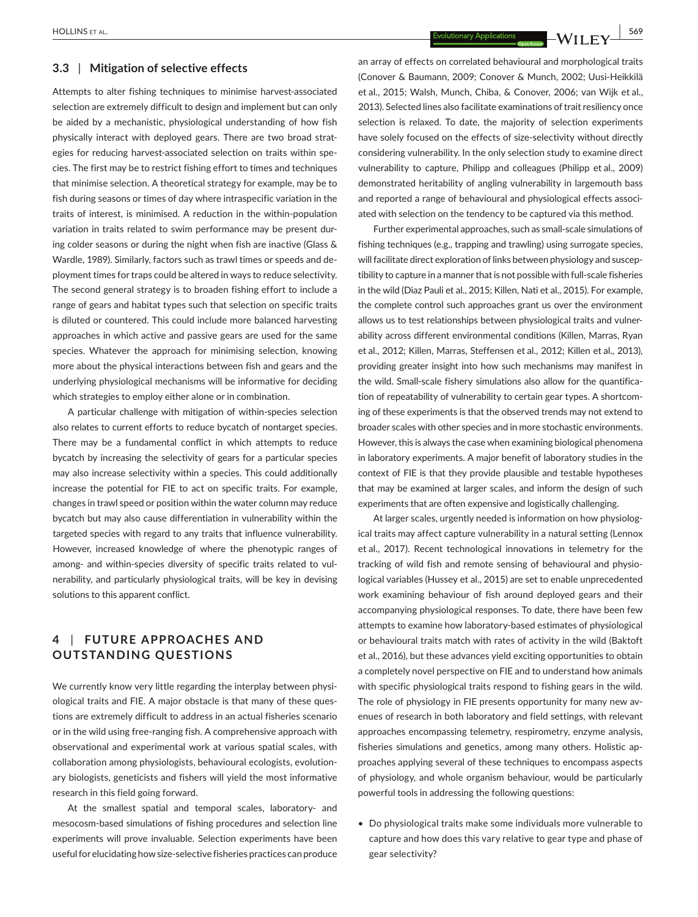### **3.3** | **Mitigation of selective effects**

Attempts to alter fishing techniques to minimise harvest-associated selection are extremely difficult to design and implement but can only be aided by a mechanistic, physiological understanding of how fish physically interact with deployed gears. There are two broad strategies for reducing harvest-associated selection on traits within species. The first may be to restrict fishing effort to times and techniques that minimise selection. A theoretical strategy for example, may be to fish during seasons or times of day where intraspecific variation in the traits of interest, is minimised. A reduction in the within-population variation in traits related to swim performance may be present during colder seasons or during the night when fish are inactive (Glass & Wardle, 1989). Similarly, factors such as trawl times or speeds and deployment times for traps could be altered in ways to reduce selectivity. The second general strategy is to broaden fishing effort to include a range of gears and habitat types such that selection on specific traits is diluted or countered. This could include more balanced harvesting approaches in which active and passive gears are used for the same species. Whatever the approach for minimising selection, knowing more about the physical interactions between fish and gears and the underlying physiological mechanisms will be informative for deciding which strategies to employ either alone or in combination.

A particular challenge with mitigation of within-species selection also relates to current efforts to reduce bycatch of nontarget species. There may be a fundamental conflict in which attempts to reduce bycatch by increasing the selectivity of gears for a particular species may also increase selectivity within a species. This could additionally increase the potential for FIE to act on specific traits. For example, changes in trawl speed or position within the water column may reduce bycatch but may also cause differentiation in vulnerability within the targeted species with regard to any traits that influence vulnerability. However, increased knowledge of where the phenotypic ranges of among- and within-species diversity of specific traits related to vulnerability, and particularly physiological traits, will be key in devising solutions to this apparent conflict.

## **4** | **FUTURE APPROACHES AND OUTSTANDING QUESTIONS**

We currently know very little regarding the interplay between physiological traits and FIE. A major obstacle is that many of these questions are extremely difficult to address in an actual fisheries scenario or in the wild using free-ranging fish. A comprehensive approach with observational and experimental work at various spatial scales, with collaboration among physiologists, behavioural ecologists, evolutionary biologists, geneticists and fishers will yield the most informative research in this field going forward.

At the smallest spatial and temporal scales, laboratory- and mesocosm-based simulations of fishing procedures and selection line experiments will prove invaluable. Selection experiments have been usefulfor elucidating howsize-selective fisheries practices can produce an array of effects on correlated behavioural and morphological traits (Conover & Baumann, 2009; Conover & Munch, 2002; Uusi-Heikkilä et al., 2015; Walsh, Munch, Chiba, & Conover, 2006; van Wijk et al., 2013). Selected lines also facilitate examinations of trait resiliency once selection is relaxed. To date, the majority of selection experiments have solely focused on the effects of size-selectivity without directly considering vulnerability. In the only selection study to examine direct vulnerability to capture, Philipp and colleagues (Philipp et al., 2009) demonstrated heritability of angling vulnerability in largemouth bass and reported a range of behavioural and physiological effects associated with selection on the tendency to be captured via this method.

Further experimental approaches, such as small-scale simulations of fishing techniques (e.g., trapping and trawling) using surrogate species, will facilitate direct exploration of links between physiology and susceptibility to capture in a manner that is not possible with full-scale fisheries in the wild (Diaz Pauli et al., 2015; Killen, Nati et al., 2015). For example, the complete control such approaches grant us over the environment allows us to test relationships between physiological traits and vulnerability across different environmental conditions (Killen, Marras, Ryan et al., 2012; Killen, Marras, Steffensen et al., 2012; Killen et al., 2013), providing greater insight into how such mechanisms may manifest in the wild. Small-scale fishery simulations also allow for the quantification of repeatability of vulnerability to certain gear types. A shortcoming of these experiments is that the observed trends may not extend to broader scales with other species and in more stochastic environments. However, this is always the case when examining biological phenomena in laboratory experiments. A major benefit of laboratory studies in the context of FIE is that they provide plausible and testable hypotheses that may be examined at larger scales, and inform the design of such experiments that are often expensive and logistically challenging.

At larger scales, urgently needed is information on how physiological traits may affect capture vulnerability in a natural setting (Lennox et al., 2017). Recent technological innovations in telemetry for the tracking of wild fish and remote sensing of behavioural and physiological variables (Hussey et al., 2015) are set to enable unprecedented work examining behaviour of fish around deployed gears and their accompanying physiological responses. To date, there have been few attempts to examine how laboratory-based estimates of physiological or behavioural traits match with rates of activity in the wild (Baktoft et al., 2016), but these advances yield exciting opportunities to obtain a completely novel perspective on FIE and to understand how animals with specific physiological traits respond to fishing gears in the wild. The role of physiology in FIE presents opportunity for many new avenues of research in both laboratory and field settings, with relevant approaches encompassing telemetry, respirometry, enzyme analysis, fisheries simulations and genetics, among many others. Holistic approaches applying several of these techniques to encompass aspects of physiology, and whole organism behaviour, would be particularly powerful tools in addressing the following questions:

• Do physiological traits make some individuals more vulnerable to capture and how does this vary relative to gear type and phase of gear selectivity?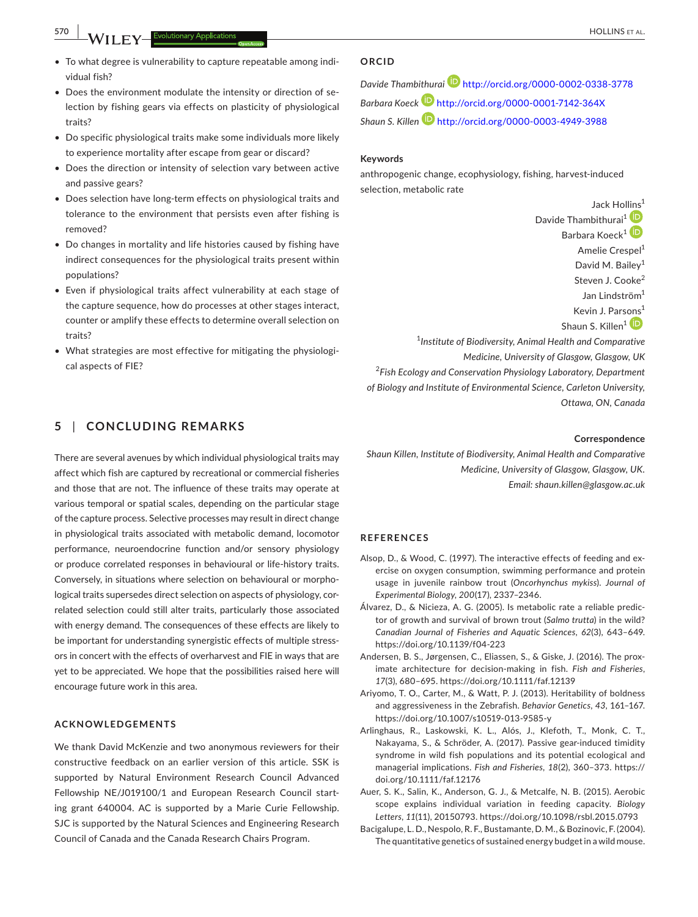- To what degree is vulnerability to capture repeatable among individual fish?
- Does the environment modulate the intensity or direction of selection by fishing gears via effects on plasticity of physiological traits?
- Do specific physiological traits make some individuals more likely to experience mortality after escape from gear or discard?
- Does the direction or intensity of selection vary between active and passive gears?
- Does selection have long-term effects on physiological traits and tolerance to the environment that persists even after fishing is removed?
- Do changes in mortality and life histories caused by fishing have indirect consequences for the physiological traits present within populations?
- Even if physiological traits affect vulnerability at each stage of the capture sequence, how do processes at other stages interact, counter or amplify these effects to determine overall selection on traits?
- What strategies are most effective for mitigating the physiological aspects of FIE?

## **5** | **CONCLUDING REMARKS**

There are several avenues by which individual physiological traits may affect which fish are captured by recreational or commercial fisheries and those that are not. The influence of these traits may operate at various temporal or spatial scales, depending on the particular stage of the capture process. Selective processes may result in direct change in physiological traits associated with metabolic demand, locomotor performance, neuroendocrine function and/or sensory physiology or produce correlated responses in behavioural or life-history traits. Conversely, in situations where selection on behavioural or morphological traits supersedes direct selection on aspects of physiology, correlated selection could still alter traits, particularly those associated with energy demand. The consequences of these effects are likely to be important for understanding synergistic effects of multiple stressors in concert with the effects of overharvest and FIE in ways that are yet to be appreciated. We hope that the possibilities raised here will encourage future work in this area.

#### **ACKNOWLEDGEMENTS**

We thank David McKenzie and two anonymous reviewers for their constructive feedback on an earlier version of this article. SSK is supported by Natural Environment Research Council Advanced Fellowship NE/J019100/1 and European Research Council starting grant 640004. AC is supported by a Marie Curie Fellowship. SJC is supported by the Natural Sciences and Engineering Research Council of Canada and the Canada Research Chairs Program.

#### **ORCID**

*Davide Thambithurai* <http://orcid.org/0000-0002-0338-3778> *Barbara Koec[k](http://orcid.org/0000-0001-7142-364X)* <http://orcid.org/0000-0001-7142-364X> *Shaun S. Killen* <http://orcid.org/0000-0003-4949-3988>

#### **Keywords**

anthropogenic change, ecophysiology, fishing, harvest-induced selection, metabolic rate

Jack Ho[llins](http://orcid.org/0000-0002-0338-3778)<sup>1</sup> Davide Thambithurai<sup>1</sup> Barbara Koeck<sup>[1](http://orcid.org/0000-0001-7142-364X)</sup><sup>D</sup> Amelie Crespel<sup>1</sup> David M. Bailey<sup>1</sup> Steven J. Cooke<sup>2</sup> Jan Lindström<sup>1</sup> Kevin J. Pars[ons](http://orcid.org/0000-0003-4949-3988)<sup>1</sup> Shaun S. Killen<sup>1</sup> 1 *Institute of Biodiversity, Animal Health and Comparative Medicine, University of Glasgow, Glasgow, UK* 2 *Fish Ecology and Conservation Physiology Laboratory, Department of Biology and Institute of Environmental Science, Carleton University,* 

## *Ottawa, ON, Canada*

#### **Correspondence**

*Shaun Killen, Institute of Biodiversity, Animal Health and Comparative Medicine, University of Glasgow, Glasgow, UK. Email: [shaun.killen@glasgow.ac.uk](mailto:shaun.killen@glasgow.ac.uk)*

#### **REFERENCES**

- Alsop, D., & Wood, C. (1997). The interactive effects of feeding and exercise on oxygen consumption, swimming performance and protein usage in juvenile rainbow trout (*Oncorhynchus mykiss*). *Journal of Experimental Biology*, *200*(17), 2337–2346.
- Álvarez, D., & Nicieza, A. G. (2005). Is metabolic rate a reliable predictor of growth and survival of brown trout (*Salmo trutta*) in the wild? *Canadian Journal of Fisheries and Aquatic Sciences*, *62*(3), 643–649. <https://doi.org/10.1139/f04-223>
- Andersen, B. S., Jørgensen, C., Eliassen, S., & Giske, J. (2016). The proximate architecture for decision-making in fish. *Fish and Fisheries*, *17*(3), 680–695. <https://doi.org/10.1111/faf.12139>
- Ariyomo, T. O., Carter, M., & Watt, P. J. (2013). Heritability of boldness and aggressiveness in the Zebrafish. *Behavior Genetics*, *43*, 161–167. <https://doi.org/10.1007/s10519-013-9585-y>
- Arlinghaus, R., Laskowski, K. L., Alós, J., Klefoth, T., Monk, C. T., Nakayama, S., & Schröder, A. (2017). Passive gear-induced timidity syndrome in wild fish populations and its potential ecological and managerial implications. *Fish and Fisheries*, *18*(2), 360–373. [https://](https://doi.org/10.1111/faf.12176) [doi.org/10.1111/faf.12176](https://doi.org/10.1111/faf.12176)
- Auer, S. K., Salin, K., Anderson, G. J., & Metcalfe, N. B. (2015). Aerobic scope explains individual variation in feeding capacity. *Biology Letters*, *11*(11), 20150793. <https://doi.org/10.1098/rsbl.2015.0793>
- Bacigalupe, L. D., Nespolo, R. F., Bustamante, D. M., & Bozinovic, F. (2004). The quantitative genetics of sustained energy budget in a wild mouse.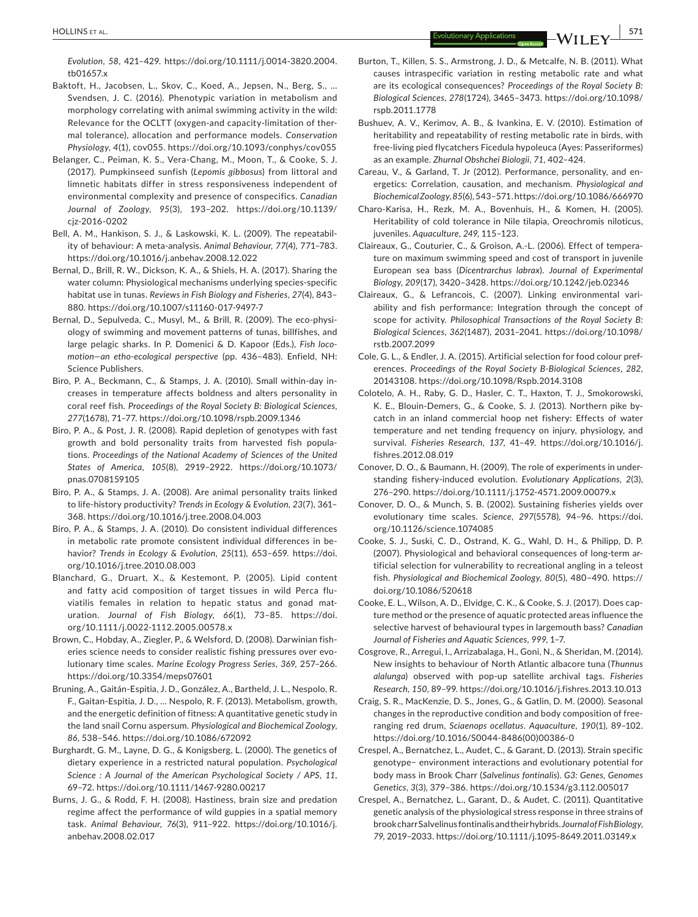*Evolution*, *58*, 421–429. [https://doi.org/10.1111/j.0014-3820.2004.](https://doi.org/10.1111/j.0014-3820.2004.tb01657.x) [tb01657.x](https://doi.org/10.1111/j.0014-3820.2004.tb01657.x)

- Baktoft, H., Jacobsen, L., Skov, C., Koed, A., Jepsen, N., Berg, S., … Svendsen, J. C. (2016). Phenotypic variation in metabolism and morphology correlating with animal swimming activity in the wild: Relevance for the OCLTT (oxygen-and capacity-limitation of thermal tolerance), allocation and performance models. *Conservation Physiology*, *4*(1), cov055. <https://doi.org/10.1093/conphys/cov055>
- Belanger, C., Peiman, K. S., Vera-Chang, M., Moon, T., & Cooke, S. J. (2017). Pumpkinseed sunfish (*Lepomis gibbosus*) from littoral and limnetic habitats differ in stress responsiveness independent of environmental complexity and presence of conspecifics. *Canadian Journal of Zoology*, *95*(3), 193–202. [https://doi.org/10.1139/](https://doi.org/10.1139/cjz-2016-0202) [cjz-2016-0202](https://doi.org/10.1139/cjz-2016-0202)
- Bell, A. M., Hankison, S. J., & Laskowski, K. L. (2009). The repeatability of behaviour: A meta-analysis. *Animal Behaviour*, *77*(4), 771–783. <https://doi.org/10.1016/j.anbehav.2008.12.022>
- Bernal, D., Brill, R. W., Dickson, K. A., & Shiels, H. A. (2017). Sharing the water column: Physiological mechanisms underlying species-specific habitat use in tunas. *Reviews in Fish Biology and Fisheries*, *27*(4), 843– 880. <https://doi.org/10.1007/s11160-017-9497-7>
- Bernal, D., Sepulveda, C., Musyl, M., & Brill, R. (2009). The eco-physiology of swimming and movement patterns of tunas, billfishes, and large pelagic sharks. In P. Domenici & D. Kapoor (Eds.), *Fish locomotion—an etho-ecological perspective* (pp. 436–483). Enfield, NH: Science Publishers.
- Biro, P. A., Beckmann, C., & Stamps, J. A. (2010). Small within-day increases in temperature affects boldness and alters personality in coral reef fish. *Proceedings of the Royal Society B: Biological Sciences*, *277*(1678), 71–77. <https://doi.org/10.1098/rspb.2009.1346>
- Biro, P. A., & Post, J. R. (2008). Rapid depletion of genotypes with fast growth and bold personality traits from harvested fish populations. *Proceedings of the National Academy of Sciences of the United States of America*, *105*(8), 2919–2922. [https://doi.org/10.1073/](https://doi.org/10.1073/pnas.0708159105) [pnas.0708159105](https://doi.org/10.1073/pnas.0708159105)
- Biro, P. A., & Stamps, J. A. (2008). Are animal personality traits linked to life-history productivity? *Trends in Ecology & Evolution*, *23*(7), 361– 368. <https://doi.org/10.1016/j.tree.2008.04.003>
- Biro, P. A., & Stamps, J. A. (2010). Do consistent individual differences in metabolic rate promote consistent individual differences in behavior? *Trends in Ecology & Evolution*, *25*(11), 653–659. [https://doi.](https://doi.org/10.1016/j.tree.2010.08.003) [org/10.1016/j.tree.2010.08.003](https://doi.org/10.1016/j.tree.2010.08.003)
- Blanchard, G., Druart, X., & Kestemont, P. (2005). Lipid content and fatty acid composition of target tissues in wild Perca fluviatilis females in relation to hepatic status and gonad maturation. *Journal of Fish Biology*, *66*(1), 73–85. [https://doi.](https://doi.org/10.1111/j.0022-1112.2005.00578.x) [org/10.1111/j.0022-1112.2005.00578.x](https://doi.org/10.1111/j.0022-1112.2005.00578.x)
- Brown, C., Hobday, A., Ziegler, P., & Welsford, D. (2008). Darwinian fisheries science needs to consider realistic fishing pressures over evolutionary time scales. *Marine Ecology Progress Series*, *369*, 257–266. <https://doi.org/10.3354/meps07601>
- Bruning, A., Gaitán-Espitia, J. D., González, A., Bartheld, J. L., Nespolo, R. F., Gaitan-Espitia, J. D., … Nespolo, R. F. (2013). Metabolism, growth, and the energetic definition of fitness: A quantitative genetic study in the land snail Cornu aspersum. *Physiological and Biochemical Zoology*, *86*, 538–546. <https://doi.org/10.1086/672092>
- Burghardt, G. M., Layne, D. G., & Konigsberg, L. (2000). The genetics of dietary experience in a restricted natural population. *Psychological Science : A Journal of the American Psychological Society / APS*, *11*, 69–72. <https://doi.org/10.1111/1467-9280.00217>
- Burns, J. G., & Rodd, F. H. (2008). Hastiness, brain size and predation regime affect the performance of wild guppies in a spatial memory task. *Animal Behaviour*, *76*(3), 911–922. [https://doi.org/10.1016/j.](https://doi.org/10.1016/j.anbehav.2008.02.017) [anbehav.2008.02.017](https://doi.org/10.1016/j.anbehav.2008.02.017)
- Burton, T., Killen, S. S., Armstrong, J. D., & Metcalfe, N. B. (2011). What causes intraspecific variation in resting metabolic rate and what are its ecological consequences? *Proceedings of the Royal Society B: Biological Sciences*, *278*(1724), 3465–3473. [https://doi.org/10.1098/](https://doi.org/10.1098/rspb.2011.1778) [rspb.2011.1778](https://doi.org/10.1098/rspb.2011.1778)
- Bushuev, A. V., Kerimov, A. B., & Ivankina, E. V. (2010). Estimation of heritability and repeatability of resting metabolic rate in birds, with free-living pied flycatchers Ficedula hypoleuca (Ayes: Passeriformes) as an example. *Zhurnal Obshchei Biologii*, *71*, 402–424.
- Careau, V., & Garland, T. Jr (2012). Performance, personality, and energetics: Correlation, causation, and mechanism. *Physiological and Biochemical Zoology*,*85*(6),543–571.<https://doi.org/10.1086/666970>
- Charo-Karisa, H., Rezk, M. A., Bovenhuis, H., & Komen, H. (2005). Heritability of cold tolerance in Nile tilapia, Oreochromis niloticus, juveniles. *Aquaculture*, *249*, 115–123.
- Claireaux, G., Couturier, C., & Groison, A.-L. (2006). Effect of temperature on maximum swimming speed and cost of transport in juvenile European sea bass (*Dicentrarchus labrax*). *Journal of Experimental Biology*, *209*(17), 3420–3428. <https://doi.org/10.1242/jeb.02346>
- Claireaux, G., & Lefrancois, C. (2007). Linking environmental variability and fish performance: Integration through the concept of scope for activity. *Philosophical Transactions of the Royal Society B: Biological Sciences*, *362*(1487), 2031–2041. [https://doi.org/10.1098/](https://doi.org/10.1098/rstb.2007.2099) [rstb.2007.2099](https://doi.org/10.1098/rstb.2007.2099)
- Cole, G. L., & Endler, J. A. (2015). Artificial selection for food colour preferences. *Proceedings of the Royal Society B-Biological Sciences*, *282*, 20143108. <https://doi.org/10.1098/Rspb.2014.3108>
- Colotelo, A. H., Raby, G. D., Hasler, C. T., Haxton, T. J., Smokorowski, K. E., Blouin-Demers, G., & Cooke, S. J. (2013). Northern pike bycatch in an inland commercial hoop net fishery: Effects of water temperature and net tending frequency on injury, physiology, and survival. *Fisheries Research*, *137*, 41–49. [https://doi.org/10.1016/j.](https://doi.org/10.1016/j.fishres.2012.08.019) [fishres.2012.08.019](https://doi.org/10.1016/j.fishres.2012.08.019)
- Conover, D. O., & Baumann, H. (2009). The role of experiments in understanding fishery-induced evolution. *Evolutionary Applications*, *2*(3), 276–290. <https://doi.org/10.1111/j.1752-4571.2009.00079.x>
- Conover, D. O., & Munch, S. B. (2002). Sustaining fisheries yields over evolutionary time scales. *Science*, *297*(5578), 94–96. [https://doi.](https://doi.org/10.1126/science.1074085) [org/10.1126/science.1074085](https://doi.org/10.1126/science.1074085)
- Cooke, S. J., Suski, C. D., Ostrand, K. G., Wahl, D. H., & Philipp, D. P. (2007). Physiological and behavioral consequences of long-term artificial selection for vulnerability to recreational angling in a teleost fish. *Physiological and Biochemical Zoology*, *80*(5), 480–490. [https://](https://doi.org/10.1086/520618) [doi.org/10.1086/520618](https://doi.org/10.1086/520618)
- Cooke, E. L., Wilson, A. D., Elvidge, C. K., & Cooke, S. J. (2017). Does capture method or the presence of aquatic protected areas influence the selective harvest of behavioural types in largemouth bass? *Canadian Journal of Fisheries and Aquatic Sciences*, *999*, 1–7.
- Cosgrove, R., Arregui, I., Arrizabalaga, H., Goni, N., & Sheridan, M. (2014). New insights to behaviour of North Atlantic albacore tuna (*Thunnus alalunga*) observed with pop-up satellite archival tags. *Fisheries Research*, *150*, 89–99. <https://doi.org/10.1016/j.fishres.2013.10.013>
- Craig, S. R., MacKenzie, D. S., Jones, G., & Gatlin, D. M. (2000). Seasonal changes in the reproductive condition and body composition of freeranging red drum, *Sciaenops ocellatus*. *Aquaculture*, *190*(1), 89–102. [https://doi.org/10.1016/S0044-8486\(00\)00386-0](https://doi.org/10.1016/S0044-8486(00)00386-0)
- Crespel, A., Bernatchez, L., Audet, C., & Garant, D. (2013). Strain specific genotype− environment interactions and evolutionary potential for body mass in Brook Charr (*Salvelinus fontinalis*). *G3: Genes, Genomes Genetics*, *3*(3), 379–386. <https://doi.org/10.1534/g3.112.005017>
- Crespel, A., Bernatchez, L., Garant, D., & Audet, C. (2011). Quantitative genetic analysis of the physiological stress response in three strains of brookcharrSalvelinusfontinalisandtheirhybrids.*Journal of Fish Biology*, *79*, 2019–2033. <https://doi.org/10.1111/j.1095-8649.2011.03149.x>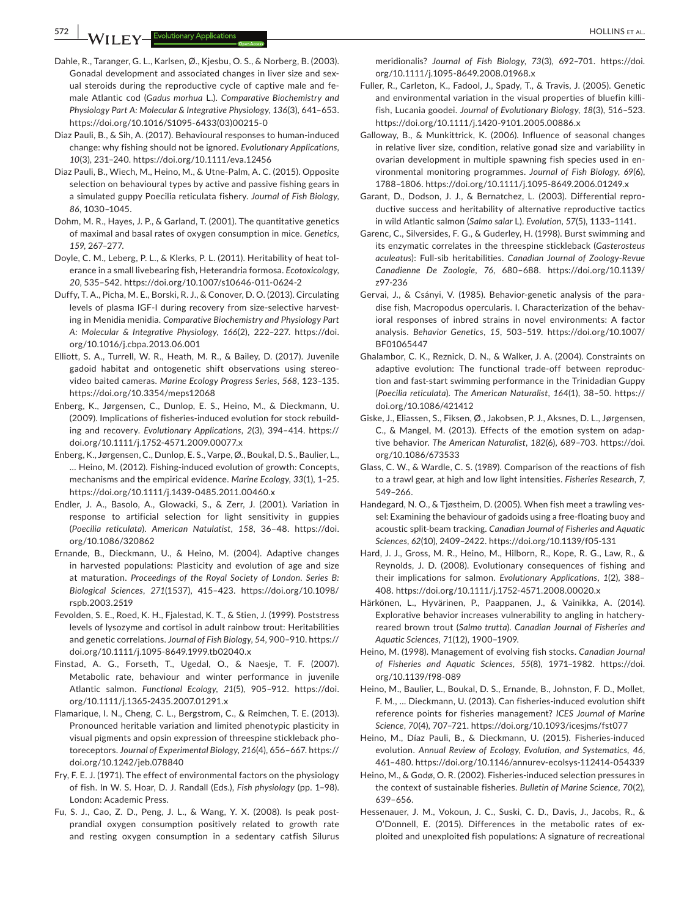**572 |**  HOLLINS et al.

- Dahle, R., Taranger, G. L., Karlsen, Ø., Kjesbu, O. S., & Norberg, B. (2003). Gonadal development and associated changes in liver size and sexual steroids during the reproductive cycle of captive male and female Atlantic cod (*Gadus morhua* L.). *Comparative Biochemistry and Physiology Part A: Molecular & Integrative Physiology*, *136*(3), 641–653. [https://doi.org/10.1016/S1095-6433\(03\)00215-0](https://doi.org/10.1016/S1095-6433(03)00215-0)
- Diaz Pauli, B., & Sih, A. (2017). Behavioural responses to human-induced change: why fishing should not be ignored. *Evolutionary Applications*, *10*(3), 231–240. <https://doi.org/10.1111/eva.12456>
- Diaz Pauli, B., Wiech, M., Heino, M., & Utne-Palm, A. C. (2015). Opposite selection on behavioural types by active and passive fishing gears in a simulated guppy Poecilia reticulata fishery. *Journal of Fish Biology*, *86*, 1030–1045.
- Dohm, M. R., Hayes, J. P., & Garland, T. (2001). The quantitative genetics of maximal and basal rates of oxygen consumption in mice. *Genetics*, *159*, 267–277.
- Doyle, C. M., Leberg, P. L., & Klerks, P. L. (2011). Heritability of heat tolerance in a small livebearing fish, Heterandria formosa. *Ecotoxicology*, *20*, 535–542. <https://doi.org/10.1007/s10646-011-0624-2>
- Duffy, T. A., Picha, M. E., Borski, R. J., & Conover, D. O. (2013). Circulating levels of plasma IGF-I during recovery from size-selective harvesting in Menidia menidia. *Comparative Biochemistry and Physiology Part A: Molecular & Integrative Physiology*, *166*(2), 222–227. [https://doi.](https://doi.org/10.1016/j.cbpa.2013.06.001) [org/10.1016/j.cbpa.2013.06.001](https://doi.org/10.1016/j.cbpa.2013.06.001)
- Elliott, S. A., Turrell, W. R., Heath, M. R., & Bailey, D. (2017). Juvenile gadoid habitat and ontogenetic shift observations using stereovideo baited cameras. *Marine Ecology Progress Series*, *568*, 123–135. <https://doi.org/10.3354/meps12068>
- Enberg, K., Jørgensen, C., Dunlop, E. S., Heino, M., & Dieckmann, U. (2009). Implications of fisheries-induced evolution for stock rebuilding and recovery. *Evolutionary Applications*, *2*(3), 394–414. [https://](https://doi.org/10.1111/j.1752-4571.2009.00077.x) [doi.org/10.1111/j.1752-4571.2009.00077.x](https://doi.org/10.1111/j.1752-4571.2009.00077.x)
- Enberg, K., Jørgensen, C., Dunlop, E. S., Varpe, Ø., Boukal, D. S., Baulier, L., … Heino, M. (2012). Fishing-induced evolution of growth: Concepts, mechanisms and the empirical evidence. *Marine Ecology*, *33*(1), 1–25. <https://doi.org/10.1111/j.1439-0485.2011.00460.x>
- Endler, J. A., Basolo, A., Glowacki, S., & Zerr, J. (2001). Variation in response to artificial selection for light sensitivity in guppies (*Poecilia reticulata*). *American Natulatist*, *158*, 36–48. [https://doi.](https://doi.org/10.1086/320862) [org/10.1086/320862](https://doi.org/10.1086/320862)
- Ernande, B., Dieckmann, U., & Heino, M. (2004). Adaptive changes in harvested populations: Plasticity and evolution of age and size at maturation. *Proceedings of the Royal Society of London. Series B: Biological Sciences*, *271*(1537), 415–423. [https://doi.org/10.1098/](https://doi.org/10.1098/rspb.2003.2519) [rspb.2003.2519](https://doi.org/10.1098/rspb.2003.2519)
- Fevolden, S. E., Roed, K. H., Fjalestad, K. T., & Stien, J. (1999). Poststress levels of lysozyme and cortisol in adult rainbow trout: Heritabilities and genetic correlations. *Journal of Fish Biology*, *54*, 900–910. [https://](https://doi.org/10.1111/j.1095-8649.1999.tb02040.x) [doi.org/10.1111/j.1095-8649.1999.tb02040.x](https://doi.org/10.1111/j.1095-8649.1999.tb02040.x)
- Finstad, A. G., Forseth, T., Ugedal, O., & Naesje, T. F. (2007). Metabolic rate, behaviour and winter performance in juvenile Atlantic salmon. *Functional Ecology*, *21*(5), 905–912. [https://doi.](https://doi.org/10.1111/j.1365-2435.2007.01291.x) [org/10.1111/j.1365-2435.2007.01291.x](https://doi.org/10.1111/j.1365-2435.2007.01291.x)
- Flamarique, I. N., Cheng, C. L., Bergstrom, C., & Reimchen, T. E. (2013). Pronounced heritable variation and limited phenotypic plasticity in visual pigments and opsin expression of threespine stickleback photoreceptors. *Journal of Experimental Biology*, *216*(4), 656–667. [https://](https://doi.org/10.1242/jeb.078840) [doi.org/10.1242/jeb.078840](https://doi.org/10.1242/jeb.078840)
- Fry, F. E. J. (1971). The effect of environmental factors on the physiology of fish. In W. S. Hoar, D. J. Randall (Eds.), *Fish physiology* (pp. 1–98). London: Academic Press.
- Fu, S. J., Cao, Z. D., Peng, J. L., & Wang, Y. X. (2008). Is peak postprandial oxygen consumption positively related to growth rate and resting oxygen consumption in a sedentary catfish Silurus

meridionalis? *Journal of Fish Biology*, *73*(3), 692–701. [https://doi.](https://doi.org/10.1111/j.1095-8649.2008.01968.x) [org/10.1111/j.1095-8649.2008.01968.x](https://doi.org/10.1111/j.1095-8649.2008.01968.x)

- Fuller, R., Carleton, K., Fadool, J., Spady, T., & Travis, J. (2005). Genetic and environmental variation in the visual properties of bluefin killifish, Lucania goodei. *Journal of Evolutionary Biology*, *18*(3), 516–523. <https://doi.org/10.1111/j.1420-9101.2005.00886.x>
- Galloway, B., & Munkittrick, K. (2006). Influence of seasonal changes in relative liver size, condition, relative gonad size and variability in ovarian development in multiple spawning fish species used in environmental monitoring programmes. *Journal of Fish Biology*, *69*(6), 1788–1806. <https://doi.org/10.1111/j.1095-8649.2006.01249.x>
- Garant, D., Dodson, J. J., & Bernatchez, L. (2003). Differential reproductive success and heritability of alternative reproductive tactics in wild Atlantic salmon (*Salmo salar* L). *Evolution*, *57*(5), 1133–1141.
- Garenc, C., Silversides, F. G., & Guderley, H. (1998). Burst swimming and its enzymatic correlates in the threespine stickleback (*Gasterosteus aculeatus*): Full-sib heritabilities. *Canadian Journal of Zoology-Revue Canadienne De Zoologie*, *76*, 680–688. [https://doi.org/10.1139/](https://doi.org/10.1139/z97-236) [z97-236](https://doi.org/10.1139/z97-236)
- Gervai, J., & Csányi, V. (1985). Behavior-genetic analysis of the paradise fish, Macropodus opercularis. I. Characterization of the behavioral responses of inbred strains in novel environments: A factor analysis. *Behavior Genetics*, *15*, 503–519. [https://doi.org/10.1007/](https://doi.org/10.1007/BF01065447) [BF01065447](https://doi.org/10.1007/BF01065447)
- Ghalambor, C. K., Reznick, D. N., & Walker, J. A. (2004). Constraints on adaptive evolution: The functional trade-off between reproduction and fast-start swimming performance in the Trinidadian Guppy (*Poecilia reticulata*). *The American Naturalist*, *164*(1), 38–50. [https://](https://doi.org/10.1086/421412) [doi.org/10.1086/421412](https://doi.org/10.1086/421412)
- Giske, J., Eliassen, S., Fiksen, Ø., Jakobsen, P. J., Aksnes, D. L., Jørgensen, C., & Mangel, M. (2013). Effects of the emotion system on adaptive behavior. *The American Naturalist*, *182*(6), 689–703. [https://doi.](https://doi.org/10.1086/673533) [org/10.1086/673533](https://doi.org/10.1086/673533)
- Glass, C. W., & Wardle, C. S. (1989). Comparison of the reactions of fish to a trawl gear, at high and low light intensities. *Fisheries Research*, *7*, 549–266.
- Handegard, N. O., & Tjøstheim, D. (2005). When fish meet a trawling vessel: Examining the behaviour of gadoids using a free-floating buoy and acoustic split-beam tracking. *Canadian Journal of Fisheries and Aquatic Sciences*, *62*(10), 2409–2422. <https://doi.org/10.1139/f05-131>
- Hard, J. J., Gross, M. R., Heino, M., Hilborn, R., Kope, R. G., Law, R., & Reynolds, J. D. (2008). Evolutionary consequences of fishing and their implications for salmon. *Evolutionary Applications*, *1*(2), 388– 408. <https://doi.org/10.1111/j.1752-4571.2008.00020.x>
- Härkönen, L., Hyvärinen, P., Paappanen, J., & Vainikka, A. (2014). Explorative behavior increases vulnerability to angling in hatcheryreared brown trout (*Salmo trutta*). *Canadian Journal of Fisheries and Aquatic Sciences*, *71*(12), 1900–1909.
- Heino, M. (1998). Management of evolving fish stocks. *Canadian Journal of Fisheries and Aquatic Sciences*, *55*(8), 1971–1982. [https://doi.](https://doi.org/10.1139/f98-089) [org/10.1139/f98-089](https://doi.org/10.1139/f98-089)
- Heino, M., Baulier, L., Boukal, D. S., Ernande, B., Johnston, F. D., Mollet, F. M., … Dieckmann, U. (2013). Can fisheries-induced evolution shift reference points for fisheries management? *ICES Journal of Marine Science*, *70*(4), 707–721. <https://doi.org/10.1093/icesjms/fst077>
- Heino, M., Díaz Pauli, B., & Dieckmann, U. (2015). Fisheries-induced evolution. *Annual Review of Ecology, Evolution, and Systematics*, *46*, 461–480. <https://doi.org/10.1146/annurev-ecolsys-112414-054339>
- Heino, M., & Godø, O. R. (2002). Fisheries-induced selection pressures in the context of sustainable fisheries. *Bulletin of Marine Science*, *70*(2), 639–656.
- Hessenauer, J. M., Vokoun, J. C., Suski, C. D., Davis, J., Jacobs, R., & O'Donnell, E. (2015). Differences in the metabolic rates of exploited and unexploited fish populations: A signature of recreational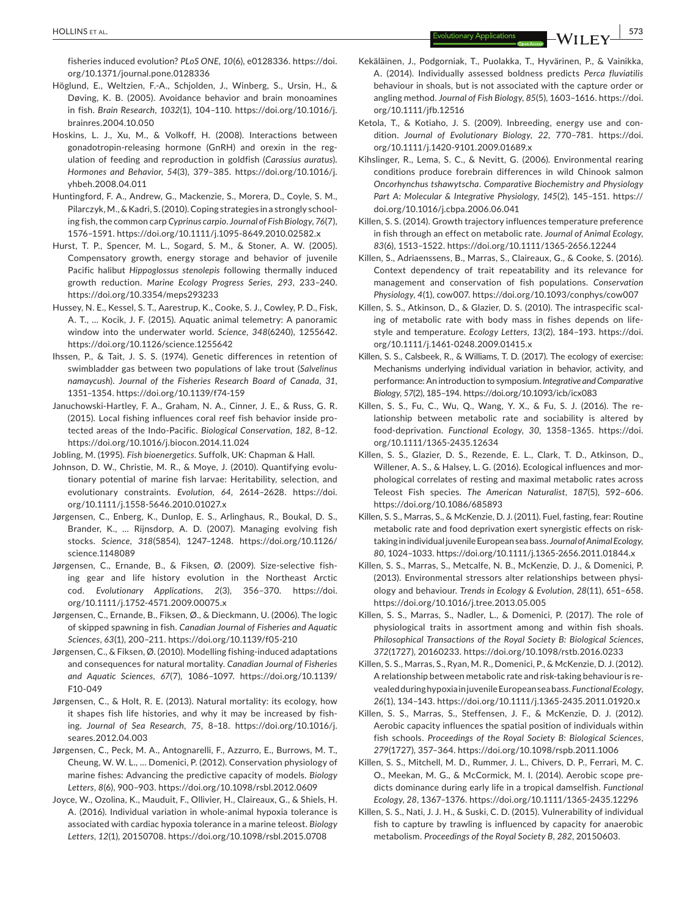fisheries induced evolution? *PLoS ONE*, *10*(6), e0128336. [https://doi.](https://doi.org/10.1371/journal.pone.0128336) [org/10.1371/journal.pone.0128336](https://doi.org/10.1371/journal.pone.0128336)

- Höglund, E., Weltzien, F.-A., Schjolden, J., Winberg, S., Ursin, H., & Døving, K. B. (2005). Avoidance behavior and brain monoamines in fish. *Brain Research*, *1032*(1), 104–110. [https://doi.org/10.1016/j.](https://doi.org/10.1016/j.brainres.2004.10.050) [brainres.2004.10.050](https://doi.org/10.1016/j.brainres.2004.10.050)
- Hoskins, L. J., Xu, M., & Volkoff, H. (2008). Interactions between gonadotropin-releasing hormone (GnRH) and orexin in the regulation of feeding and reproduction in goldfish (*Carassius auratus*). *Hormones and Behavior*, *54*(3), 379–385. [https://doi.org/10.1016/j.](https://doi.org/10.1016/j.yhbeh.2008.04.011) [yhbeh.2008.04.011](https://doi.org/10.1016/j.yhbeh.2008.04.011)
- Huntingford, F. A., Andrew, G., Mackenzie, S., Morera, D., Coyle, S. M., Pilarczyk, M., & Kadri, S. (2010).Coping strategies in a strongly schooling fish, the common carp *Cyprinus carpio*. *Journal of Fish Biology*, 76(7), 1576–1591. <https://doi.org/10.1111/j.1095-8649.2010.02582.x>
- Hurst, T. P., Spencer, M. L., Sogard, S. M., & Stoner, A. W. (2005). Compensatory growth, energy storage and behavior of juvenile Pacific halibut *Hippoglossus stenolepis* following thermally induced growth reduction. *Marine Ecology Progress Series*, *293*, 233–240. <https://doi.org/10.3354/meps293233>
- Hussey, N. E., Kessel, S. T., Aarestrup, K., Cooke, S. J., Cowley, P. D., Fisk, A. T., … Kocik, J. F. (2015). Aquatic animal telemetry: A panoramic window into the underwater world. *Science*, *348*(6240), 1255642. <https://doi.org/10.1126/science.1255642>
- Ihssen, P., & Tait, J. S. S. (1974). Genetic differences in retention of swimbladder gas between two populations of lake trout (*Salvelinus namaycush*). *Journal of the Fisheries Research Board of Canada*, *31*, 1351–1354. <https://doi.org/10.1139/f74-159>
- Januchowski-Hartley, F. A., Graham, N. A., Cinner, J. E., & Russ, G. R. (2015). Local fishing influences coral reef fish behavior inside protected areas of the Indo-Pacific. *Biological Conservation*, *182*, 8–12. <https://doi.org/10.1016/j.biocon.2014.11.024>
- Jobling, M. (1995). *Fish bioenergetics*. Suffolk, UK: Chapman & Hall.
- Johnson, D. W., Christie, M. R., & Moye, J. (2010). Quantifying evolutionary potential of marine fish larvae: Heritability, selection, and evolutionary constraints. *Evolution*, *64*, 2614–2628. [https://doi.](https://doi.org/10.1111/j.1558-5646.2010.01027.x) [org/10.1111/j.1558-5646.2010.01027.x](https://doi.org/10.1111/j.1558-5646.2010.01027.x)
- Jørgensen, C., Enberg, K., Dunlop, E. S., Arlinghaus, R., Boukal, D. S., Brander, K., … Rijnsdorp, A. D. (2007). Managing evolving fish stocks. *Science*, *318*(5854), 1247–1248. [https://doi.org/10.1126/](https://doi.org/10.1126/science.1148089) [science.1148089](https://doi.org/10.1126/science.1148089)
- Jørgensen, C., Ernande, B., & Fiksen, Ø. (2009). Size-selective fishing gear and life history evolution in the Northeast Arctic cod. *Evolutionary Applications*, *2*(3), 356–370. [https://doi.](https://doi.org/10.1111/j.1752-4571.2009.00075.x) [org/10.1111/j.1752-4571.2009.00075.x](https://doi.org/10.1111/j.1752-4571.2009.00075.x)
- Jørgensen, C., Ernande, B., Fiksen, Ø., & Dieckmann, U. (2006). The logic of skipped spawning in fish. *Canadian Journal of Fisheries and Aquatic Sciences*, *63*(1), 200–211. <https://doi.org/10.1139/f05-210>
- Jørgensen, C., & Fiksen, Ø. (2010). Modelling fishing-induced adaptations and consequences for natural mortality. *Canadian Journal of Fisheries and Aquatic Sciences*, *67*(7), 1086–1097. [https://doi.org/10.1139/](https://doi.org/10.1139/F10-049) [F10-049](https://doi.org/10.1139/F10-049)
- Jørgensen, C., & Holt, R. E. (2013). Natural mortality: its ecology, how it shapes fish life histories, and why it may be increased by fishing. *Journal of Sea Research*, *75*, 8–18. [https://doi.org/10.1016/j.](https://doi.org/10.1016/j.seares.2012.04.003) [seares.2012.04.003](https://doi.org/10.1016/j.seares.2012.04.003)
- Jørgensen, C., Peck, M. A., Antognarelli, F., Azzurro, E., Burrows, M. T., Cheung, W. W. L., … Domenici, P. (2012). Conservation physiology of marine fishes: Advancing the predictive capacity of models. *Biology Letters*, *8*(6), 900–903. <https://doi.org/10.1098/rsbl.2012.0609>
- Joyce, W., Ozolina, K., Mauduit, F., Ollivier, H., Claireaux, G., & Shiels, H. A. (2016). Individual variation in whole-animal hypoxia tolerance is associated with cardiac hypoxia tolerance in a marine teleost. *Biology Letters*, *12*(1), 20150708. <https://doi.org/10.1098/rsbl.2015.0708>
- Kekäläinen, J., Podgorniak, T., Puolakka, T., Hyvärinen, P., & Vainikka, A. (2014). Individually assessed boldness predicts *Perca fluviatilis* behaviour in shoals, but is not associated with the capture order or angling method. *Journal of Fish Biology*, *85*(5), 1603–1616. [https://doi.](https://doi.org/10.1111/jfb.12516) [org/10.1111/jfb.12516](https://doi.org/10.1111/jfb.12516)
- Ketola, T., & Kotiaho, J. S. (2009). Inbreeding, energy use and condition. *Journal of Evolutionary Biology*, *22*, 770–781. [https://doi.](https://doi.org/10.1111/j.1420-9101.2009.01689.x) [org/10.1111/j.1420-9101.2009.01689.x](https://doi.org/10.1111/j.1420-9101.2009.01689.x)
- Kihslinger, R., Lema, S. C., & Nevitt, G. (2006). Environmental rearing conditions produce forebrain differences in wild Chinook salmon *Oncorhynchus tshawytscha*. *Comparative Biochemistry and Physiology Part A: Molecular & Integrative Physiology*, *145*(2), 145–151. [https://](https://doi.org/10.1016/j.cbpa.2006.06.041) [doi.org/10.1016/j.cbpa.2006.06.041](https://doi.org/10.1016/j.cbpa.2006.06.041)
- Killen, S. S. (2014). Growth trajectory influences temperature preference in fish through an effect on metabolic rate. *Journal of Animal Ecology*, *83*(6), 1513–1522. <https://doi.org/10.1111/1365-2656.12244>
- Killen, S., Adriaenssens, B., Marras, S., Claireaux, G., & Cooke, S. (2016). Context dependency of trait repeatability and its relevance for management and conservation of fish populations. *Conservation Physiology*, *4*(1), cow007. <https://doi.org/10.1093/conphys/cow007>
- Killen, S. S., Atkinson, D., & Glazier, D. S. (2010). The intraspecific scaling of metabolic rate with body mass in fishes depends on lifestyle and temperature. *Ecology Letters*, *13*(2), 184–193. [https://doi.](https://doi.org/10.1111/j.1461-0248.2009.01415.x) [org/10.1111/j.1461-0248.2009.01415.x](https://doi.org/10.1111/j.1461-0248.2009.01415.x)
- Killen, S. S., Calsbeek, R., & Williams, T. D. (2017). The ecology of exercise: Mechanisms underlying individual variation in behavior, activity, and performance:An introduction to symposium. *Integrative and Comparative Biology*, *57*(2), 185–194. <https://doi.org/10.1093/icb/icx083>
- Killen, S. S., Fu, C., Wu, Q., Wang, Y. X., & Fu, S. J. (2016). The relationship between metabolic rate and sociability is altered by food‐deprivation. *Functional Ecology*, *30*, 1358–1365. [https://doi.](https://doi.org/10.1111/1365-2435.12634) [org/10.1111/1365-2435.12634](https://doi.org/10.1111/1365-2435.12634)
- Killen, S. S., Glazier, D. S., Rezende, E. L., Clark, T. D., Atkinson, D., Willener, A. S., & Halsey, L. G. (2016). Ecological influences and morphological correlates of resting and maximal metabolic rates across Teleost Fish species. *The American Naturalist*, *187*(5), 592–606. <https://doi.org/10.1086/685893>
- Killen, S. S., Marras, S., & McKenzie, D. J. (2011). Fuel, fasting, fear: Routine metabolic rate and food deprivation exert synergistic effects on risktaking inindividual juvenileEuropeanseabass. *Journal of Animal Ecology*, *80*, 1024–1033. <https://doi.org/10.1111/j.1365-2656.2011.01844.x>
- Killen, S. S., Marras, S., Metcalfe, N. B., McKenzie, D. J., & Domenici, P. (2013). Environmental stressors alter relationships between physiology and behaviour. *Trends in Ecology & Evolution*, *28*(11), 651–658. <https://doi.org/10.1016/j.tree.2013.05.005>
- Killen, S. S., Marras, S., Nadler, L., & Domenici, P. (2017). The role of physiological traits in assortment among and within fish shoals. *Philosophical Transactions of the Royal Society B: Biological Sciences*, *372*(1727), 20160233. <https://doi.org/10.1098/rstb.2016.0233>
- Killen, S. S., Marras, S., Ryan, M. R., Domenici, P., & McKenzie, D. J. (2012). A relationship between metabolic rate and risk-taking behaviour is revealedduringhypoxiainjuvenileEuropeanseabass.*Functional Ecology*, *26*(1), 134–143. <https://doi.org/10.1111/j.1365-2435.2011.01920.x>
- Killen, S. S., Marras, S., Steffensen, J. F., & McKenzie, D. J. (2012). Aerobic capacity influences the spatial position of individuals within fish schools. *Proceedings of the Royal Society B: Biological Sciences*, *279*(1727), 357–364. <https://doi.org/10.1098/rspb.2011.1006>
- Killen, S. S., Mitchell, M. D., Rummer, J. L., Chivers, D. P., Ferrari, M. C. O., Meekan, M. G., & McCormick, M. I. (2014). Aerobic scope predicts dominance during early life in a tropical damselfish. *Functional Ecology*, *28*, 1367–1376. <https://doi.org/10.1111/1365-2435.12296>
- Killen, S. S., Nati, J. J. H., & Suski, C. D. (2015). Vulnerability of individual fish to capture by trawling is influenced by capacity for anaerobic metabolism. *Proceedings of the Royal Society B*, *282*, 20150603.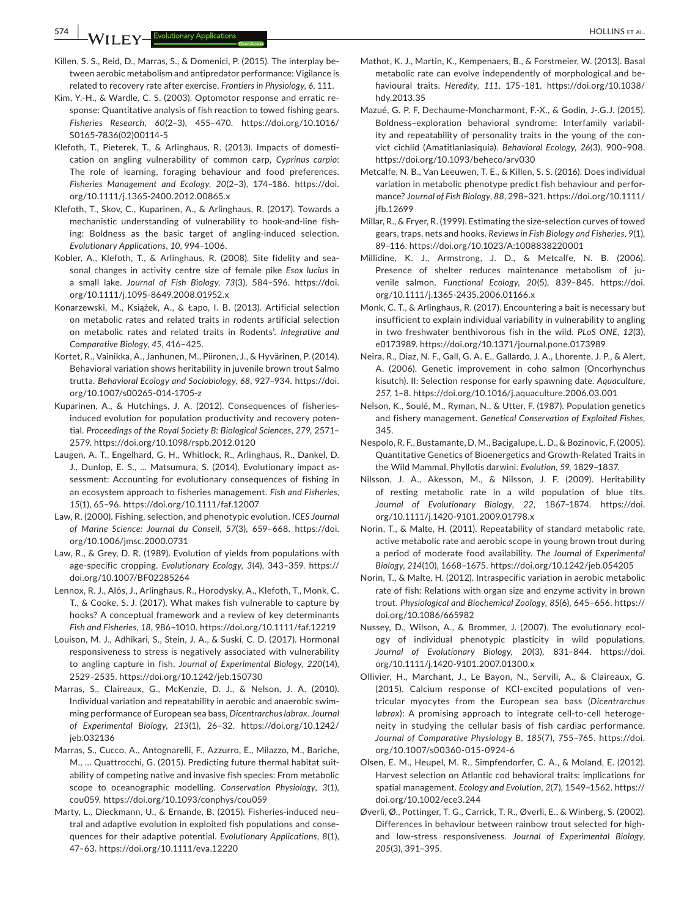**574 | <b>A***I* II FY Evolutionary Applications **by the contract of all the contract of a** contract a contract of a contract of a contract of a contract of a contract of a contract of a contract of a contract of a contract o

- Killen, S. S., Reid, D., Marras, S., & Domenici, P. (2015). The interplay between aerobic metabolism and antipredator performance: Vigilance is related to recovery rate after exercise. *Frontiers in Physiology*, *6*, 111.
- Kim, Y.-H., & Wardle, C. S. (2003). Optomotor response and erratic response: Quantitative analysis of fish reaction to towed fishing gears. *Fisheries Research*, *60*(2–3), 455–470. [https://doi.org/10.1016/](https://doi.org/10.1016/S0165-7836(02)00114-5) [S0165-7836\(02\)00114-5](https://doi.org/10.1016/S0165-7836(02)00114-5)
- Klefoth, T., Pieterek, T., & Arlinghaus, R. (2013). Impacts of domestication on angling vulnerability of common carp, *Cyprinus carpio*: The role of learning, foraging behaviour and food preferences. *Fisheries Management and Ecology*, *20*(2–3), 174–186. [https://doi.](https://doi.org/10.1111/j.1365-2400.2012.00865.x) [org/10.1111/j.1365-2400.2012.00865.x](https://doi.org/10.1111/j.1365-2400.2012.00865.x)
- Klefoth, T., Skov, C., Kuparinen, A., & Arlinghaus, R. (2017). Towards a mechanistic understanding of vulnerability to hook‐and‐line fishing: Boldness as the basic target of angling-induced selection. *Evolutionary Applications*, *10*, 994–1006.
- Kobler, A., Klefoth, T., & Arlinghaus, R. (2008). Site fidelity and seasonal changes in activity centre size of female pike *Esox lucius* in a small lake. *Journal of Fish Biology*, *73*(3), 584–596. [https://doi.](https://doi.org/10.1111/j.1095-8649.2008.01952.x) [org/10.1111/j.1095-8649.2008.01952.x](https://doi.org/10.1111/j.1095-8649.2008.01952.x)
- Konarzewski, M., Książek, A., & Łapo, I. B. (2013). Artificial selection on metabolic rates and related traits in rodents artificial selection on metabolic rates and related traits in Rodents'. *Integrative and Comparative Biology*, *45*, 416–425.
- Kortet, R., Vainikka, A., Janhunen, M., Piironen, J., & Hyvärinen, P. (2014). Behavioral variation shows heritability in juvenile brown trout Salmo trutta. *Behavioral Ecology and Sociobiology*, *68*, 927–934. [https://doi.](https://doi.org/10.1007/s00265-014-1705-z) [org/10.1007/s00265-014-1705-z](https://doi.org/10.1007/s00265-014-1705-z)
- Kuparinen, A., & Hutchings, J. A. (2012). Consequences of fisheriesinduced evolution for population productivity and recovery potential. *Proceedings of the Royal Society B: Biological Sciences*, *279*, 2571– 2579. <https://doi.org/10.1098/rspb.2012.0120>
- Laugen, A. T., Engelhard, G. H., Whitlock, R., Arlinghaus, R., Dankel, D. J., Dunlop, E. S., … Matsumura, S. (2014). Evolutionary impact assessment: Accounting for evolutionary consequences of fishing in an ecosystem approach to fisheries management. *Fish and Fisheries*, *15*(1), 65–96. <https://doi.org/10.1111/faf.12007>
- Law, R. (2000). Fishing, selection, and phenotypic evolution. *ICES Journal of Marine Science: Journal du Conseil*, *57*(3), 659–668. [https://doi.](https://doi.org/10.1006/jmsc.2000.0731) [org/10.1006/jmsc.2000.0731](https://doi.org/10.1006/jmsc.2000.0731)
- Law, R., & Grey, D. R. (1989). Evolution of yields from populations with age-specific cropping. *Evolutionary Ecology*, *3*(4), 343–359. [https://](https://doi.org/10.1007/BF02285264) [doi.org/10.1007/BF02285264](https://doi.org/10.1007/BF02285264)
- Lennox, R. J., Alós, J., Arlinghaus, R., Horodysky, A., Klefoth, T., Monk, C. T., & Cooke, S. J. (2017). What makes fish vulnerable to capture by hooks? A conceptual framework and a review of key determinants *Fish and Fisheries*, *18*, 986–1010. <https://doi.org/10.1111/faf.12219>
- Louison, M. J., Adhikari, S., Stein, J. A., & Suski, C. D. (2017). Hormonal responsiveness to stress is negatively associated with vulnerability to angling capture in fish. *Journal of Experimental Biology*, *220*(14), 2529–2535. <https://doi.org/10.1242/jeb.150730>
- Marras, S., Claireaux, G., McKenzie, D. J., & Nelson, J. A. (2010). Individual variation and repeatability in aerobic and anaerobic swimming performance of European sea bass, *Dicentrarchus labrax*. *Journal of Experimental Biology*, *213*(1), 26–32. [https://doi.org/10.1242/](https://doi.org/10.1242/jeb.032136) ieb.032136
- Marras, S., Cucco, A., Antognarelli, F., Azzurro, E., Milazzo, M., Bariche, M., … Quattrocchi, G. (2015). Predicting future thermal habitat suitability of competing native and invasive fish species: From metabolic scope to oceanographic modelling. *Conservation Physiology*, *3*(1), cou059. <https://doi.org/10.1093/conphys/cou059>
- Marty, L., Dieckmann, U., & Ernande, B. (2015). Fisheries-induced neutral and adaptive evolution in exploited fish populations and consequences for their adaptive potential. *Evolutionary Applications*, *8*(1), 47–63. <https://doi.org/10.1111/eva.12220>
- Mathot, K. J., Martin, K., Kempenaers, B., & Forstmeier, W. (2013). Basal metabolic rate can evolve independently of morphological and behavioural traits. *Heredity*, *111*, 175–181. [https://doi.org/10.1038/](https://doi.org/10.1038/hdy.2013.35) [hdy.2013.35](https://doi.org/10.1038/hdy.2013.35)
- Mazué, G. P. F, Dechaume-Moncharmont, F.-X., & Godin, J-.G.J. (2015). Boldness–exploration behavioral syndrome: Interfamily variability and repeatability of personality traits in the young of the convict cichlid (Amatitlaniasiquia). *Behavioral Ecology*, *26*(3), 900–908. <https://doi.org/10.1093/beheco/arv030>
- Metcalfe, N. B., Van Leeuwen, T. E., & Killen, S. S. (2016). Does individual variation in metabolic phenotype predict fish behaviour and performance? *Journal of Fish Biology*, *88*, 298–321. [https://doi.org/10.1111/](https://doi.org/10.1111/jfb.12699) [jfb.12699](https://doi.org/10.1111/jfb.12699)
- Millar, R., & Fryer, R. (1999). Estimating the size-selection curves of towed gears, traps, nets and hooks. *Reviews in Fish Biology and Fisheries*, *9*(1), 89–116. <https://doi.org/10.1023/A:1008838220001>
- Millidine, K. J., Armstrong, J. D., & Metcalfe, N. B. (2006). Presence of shelter reduces maintenance metabolism of juvenile salmon. *Functional Ecology*, *20*(5), 839–845. [https://doi.](https://doi.org/10.1111/j.1365-2435.2006.01166.x) [org/10.1111/j.1365-2435.2006.01166.x](https://doi.org/10.1111/j.1365-2435.2006.01166.x)
- Monk, C. T., & Arlinghaus, R. (2017). Encountering a bait is necessary but insufficient to explain individual variability in vulnerability to angling in two freshwater benthivorous fish in the wild. *PLoS ONE*, *12*(3), e0173989. <https://doi.org/10.1371/journal.pone.0173989>
- Neira, R., Diaz, N. F., Gall, G. A. E., Gallardo, J. A., Lhorente, J. P., & Alert, A. (2006). Genetic improvement in coho salmon (Oncorhynchus kisutch). II: Selection response for early spawning date. *Aquaculture*, *257*, 1–8. <https://doi.org/10.1016/j.aquaculture.2006.03.001>
- Nelson, K., Soulé, M., Ryman, N., & Utter, F. (1987). Population genetics and fishery management. *Genetical Conservation of Exploited Fishes*, 345.
- Nespolo, R. F., Bustamante, D. M., Bacigalupe, L. D., & Bozinovic, F. (2005). Quantitative Genetics of Bioenergetics and Growth-Related Traits in the Wild Mammal, Phyllotis darwini. *Evolution*, *59*, 1829–1837.
- Nilsson, J. A., Akesson, M., & Nilsson, J. F. (2009). Heritability of resting metabolic rate in a wild population of blue tits. *Journal of Evolutionary Biology*, *22*, 1867–1874. [https://doi.](https://doi.org/10.1111/j.1420-9101.2009.01798.x) [org/10.1111/j.1420-9101.2009.01798.x](https://doi.org/10.1111/j.1420-9101.2009.01798.x)
- Norin, T., & Malte, H. (2011). Repeatability of standard metabolic rate, active metabolic rate and aerobic scope in young brown trout during a period of moderate food availability. *The Journal of Experimental Biology*, *214*(10), 1668–1675. <https://doi.org/10.1242/jeb.054205>
- Norin, T., & Malte, H. (2012). Intraspecific variation in aerobic metabolic rate of fish: Relations with organ size and enzyme activity in brown trout. *Physiological and Biochemical Zoology*, *85*(6), 645–656. [https://](https://doi.org/10.1086/665982) [doi.org/10.1086/665982](https://doi.org/10.1086/665982)
- Nussey, D., Wilson, A., & Brommer, J. (2007). The evolutionary ecology of individual phenotypic plasticity in wild populations. *Journal of Evolutionary Biology*, *20*(3), 831–844. [https://doi.](https://doi.org/10.1111/j.1420-9101.2007.01300.x) [org/10.1111/j.1420-9101.2007.01300.x](https://doi.org/10.1111/j.1420-9101.2007.01300.x)
- Ollivier, H., Marchant, J., Le Bayon, N., Servili, A., & Claireaux, G. (2015). Calcium response of KCl-excited populations of ventricular myocytes from the European sea bass (*Dicentrarchus labrax*): A promising approach to integrate cell-to-cell heterogeneity in studying the cellular basis of fish cardiac performance. *Journal of Comparative Physiology B*, *185*(7), 755–765. [https://doi.](https://doi.org/10.1007/s00360-015-0924-6) [org/10.1007/s00360-015-0924-6](https://doi.org/10.1007/s00360-015-0924-6)
- Olsen, E. M., Heupel, M. R., Simpfendorfer, C. A., & Moland, E. (2012). Harvest selection on Atlantic cod behavioral traits: implications for spatial management. *Ecology and Evolution*, *2*(7), 1549–1562. [https://](https://doi.org/10.1002/ece3.244) [doi.org/10.1002/ece3.244](https://doi.org/10.1002/ece3.244)
- Øverli, Ø., Pottinger, T. G., Carrick, T. R., Øverli, E., & Winberg, S. (2002). Differences in behaviour between rainbow trout selected for highand low-stress responsiveness. *Journal of Experimental Biology*, *205*(3), 391–395.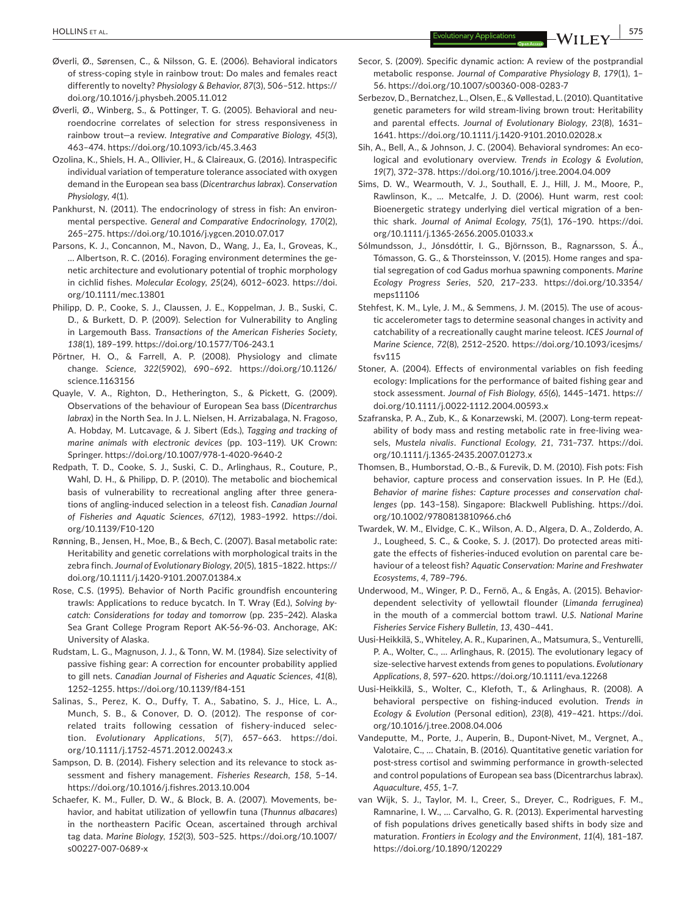- Øverli, Ø., Sørensen, C., & Nilsson, G. E. (2006). Behavioral indicators of stress-coping style in rainbow trout: Do males and females react differently to novelty? *Physiology & Behavior*, *87*(3), 506–512. [https://](https://doi.org/10.1016/j.physbeh.2005.11.012) [doi.org/10.1016/j.physbeh.2005.11.012](https://doi.org/10.1016/j.physbeh.2005.11.012)
- Øverli, Ø., Winberg, S., & Pottinger, T. G. (2005). Behavioral and neuroendocrine correlates of selection for stress responsiveness in rainbow trout—a review. *Integrative and Comparative Biology*, *45*(3), 463–474. <https://doi.org/10.1093/icb/45.3.463>
- Ozolina, K., Shiels, H. A., Ollivier, H., & Claireaux, G. (2016). Intraspecific individual variation of temperature tolerance associated with oxygen demand in the European sea bass (*Dicentrarchus labrax*). *Conservation Physiology*, *4*(1).
- Pankhurst, N. (2011). The endocrinology of stress in fish: An environmental perspective. *General and Comparative Endocrinology*, *170*(2), 265–275. <https://doi.org/10.1016/j.ygcen.2010.07.017>
- Parsons, K. J., Concannon, M., Navon, D., Wang, J., Ea, I., Groveas, K., … Albertson, R. C. (2016). Foraging environment determines the genetic architecture and evolutionary potential of trophic morphology in cichlid fishes. *Molecular Ecology*, *25*(24), 6012–6023. [https://doi.](https://doi.org/10.1111/mec.13801) [org/10.1111/mec.13801](https://doi.org/10.1111/mec.13801)
- Philipp, D. P., Cooke, S. J., Claussen, J. E., Koppelman, J. B., Suski, C. D., & Burkett, D. P. (2009). Selection for Vulnerability to Angling in Largemouth Bass. *Transactions of the American Fisheries Society*, *138*(1), 189–199. <https://doi.org/10.1577/T06-243.1>
- Pörtner, H. O., & Farrell, A. P. (2008). Physiology and climate change. *Science*, *322*(5902), 690–692. [https://doi.org/10.1126/](https://doi.org/10.1126/science.1163156) [science.1163156](https://doi.org/10.1126/science.1163156)
- Quayle, V. A., Righton, D., Hetherington, S., & Pickett, G. (2009). Observations of the behaviour of European Sea bass (*Dicentrarchus labrax*) in the North Sea. In J. L. Nielsen, H. Arrizabalaga, N. Fragoso, A. Hobday, M. Lutcavage, & J. Sibert (Eds.), *Tagging and tracking of marine animals with electronic devices* (pp. 103–119). UK Crown: Springer. <https://doi.org/10.1007/978-1-4020-9640-2>
- Redpath, T. D., Cooke, S. J., Suski, C. D., Arlinghaus, R., Couture, P., Wahl, D. H., & Philipp, D. P. (2010). The metabolic and biochemical basis of vulnerability to recreational angling after three generations of angling-induced selection in a teleost fish. *Canadian Journal of Fisheries and Aquatic Sciences*, *67*(12), 1983–1992. [https://doi.](https://doi.org/10.1139/F10-120) [org/10.1139/F10-120](https://doi.org/10.1139/F10-120)
- Rønning, B., Jensen, H., Moe, B., & Bech, C. (2007). Basal metabolic rate: Heritability and genetic correlations with morphological traits in the zebra finch. *Journal of Evolutionary Biology*, *20*(5), 1815–1822. [https://](https://doi.org/10.1111/j.1420-9101.2007.01384.x) [doi.org/10.1111/j.1420-9101.2007.01384.x](https://doi.org/10.1111/j.1420-9101.2007.01384.x)
- Rose, C.S. (1995). Behavior of North Pacific groundfish encountering trawls: Applications to reduce bycatch. In T. Wray (Ed.), *Solving bycatch: Considerations for today and tomorrow* (pp. 235–242). Alaska Sea Grant College Program Report AK-56-96-03. Anchorage, AK: University of Alaska.
- Rudstam, L. G., Magnuson, J. J., & Tonn, W. M. (1984). Size selectivity of passive fishing gear: A correction for encounter probability applied to gill nets. *Canadian Journal of Fisheries and Aquatic Sciences*, *41*(8), 1252–1255. <https://doi.org/10.1139/f84-151>
- Salinas, S., Perez, K. O., Duffy, T. A., Sabatino, S. J., Hice, L. A., Munch, S. B., & Conover, D. O. (2012). The response of correlated traits following cessation of fishery-induced selection. *Evolutionary Applications*, *5*(7), 657–663. [https://doi.](https://doi.org/10.1111/j.1752-4571.2012.00243.x) [org/10.1111/j.1752-4571.2012.00243.x](https://doi.org/10.1111/j.1752-4571.2012.00243.x)
- Sampson, D. B. (2014). Fishery selection and its relevance to stock assessment and fishery management. *Fisheries Research*, *158*, 5–14. <https://doi.org/10.1016/j.fishres.2013.10.004>
- Schaefer, K. M., Fuller, D. W., & Block, B. A. (2007). Movements, behavior, and habitat utilization of yellowfin tuna (*Thunnus albacares*) in the northeastern Pacific Ocean, ascertained through archival tag data. *Marine Biology*, *152*(3), 503–525. [https://doi.org/10.1007/](https://doi.org/10.1007/s00227-007-0689-x) [s00227-007-0689-x](https://doi.org/10.1007/s00227-007-0689-x)
- Secor, S. (2009). Specific dynamic action: A review of the postprandial metabolic response. *Journal of Comparative Physiology B*, *179*(1), 1– 56. <https://doi.org/10.1007/s00360-008-0283-7>
- Serbezov, D., Bernatchez, L., Olsen, E., & Vøllestad, L. (2010). Quantitative genetic parameters for wild stream-living brown trout: Heritability and parental effects. *Journal of Evolutionary Biology*, *23*(8), 1631– 1641. <https://doi.org/10.1111/j.1420-9101.2010.02028.x>
- Sih, A., Bell, A., & Johnson, J. C. (2004). Behavioral syndromes: An ecological and evolutionary overview. *Trends in Ecology & Evolution*, *19*(7), 372–378. <https://doi.org/10.1016/j.tree.2004.04.009>
- Sims, D. W., Wearmouth, V. J., Southall, E. J., Hill, J. M., Moore, P., Rawlinson, K., … Metcalfe, J. D. (2006). Hunt warm, rest cool: Bioenergetic strategy underlying diel vertical migration of a benthic shark. *Journal of Animal Ecology*, *75*(1), 176–190. [https://doi.](https://doi.org/10.1111/j.1365-2656.2005.01033.x) [org/10.1111/j.1365-2656.2005.01033.x](https://doi.org/10.1111/j.1365-2656.2005.01033.x)
- Sólmundsson, J., Jónsdóttir, I. G., Björnsson, B., Ragnarsson, S. Á., Tómasson, G. G., & Thorsteinsson, V. (2015). Home ranges and spatial segregation of cod Gadus morhua spawning components. *Marine Ecology Progress Series*, *520*, 217–233. [https://doi.org/10.3354/](https://doi.org/10.3354/meps11106) [meps11106](https://doi.org/10.3354/meps11106)
- Stehfest, K. M., Lyle, J. M., & Semmens, J. M. (2015). The use of acoustic accelerometer tags to determine seasonal changes in activity and catchability of a recreationally caught marine teleost. *ICES Journal of Marine Science*, *72*(8), 2512–2520. [https://doi.org/10.1093/icesjms/](https://doi.org/10.1093/icesjms/fsv115) [fsv115](https://doi.org/10.1093/icesjms/fsv115)
- Stoner, A. (2004). Effects of environmental variables on fish feeding ecology: Implications for the performance of baited fishing gear and stock assessment. *Journal of Fish Biology*, *65*(6), 1445–1471. [https://](https://doi.org/10.1111/j.0022-1112.2004.00593.x) [doi.org/10.1111/j.0022-1112.2004.00593.x](https://doi.org/10.1111/j.0022-1112.2004.00593.x)
- Szafranska, P. A., Zub, K., & Konarzewski, M. (2007). Long-term repeatability of body mass and resting metabolic rate in free-living weasels, *Mustela nivalis*. *Functional Ecology*, *21*, 731–737. [https://doi.](https://doi.org/10.1111/j.1365-2435.2007.01273.x) [org/10.1111/j.1365-2435.2007.01273.x](https://doi.org/10.1111/j.1365-2435.2007.01273.x)
- Thomsen, B., Humborstad, O.-B., & Furevik, D. M. (2010). Fish pots: Fish behavior, capture process and conservation issues. In P. He (Ed.), *Behavior of marine fishes: Capture processes and conservation challenges* (pp. 143–158). Singapore: Blackwell Publishing. [https://doi.](https://doi.org/10.1002/9780813810966.ch6) [org/10.1002/9780813810966.ch6](https://doi.org/10.1002/9780813810966.ch6)
- Twardek, W. M., Elvidge, C. K., Wilson, A. D., Algera, D. A., Zolderdo, A. J., Lougheed, S. C., & Cooke, S. J. (2017). Do protected areas mitigate the effects of fisheries-induced evolution on parental care behaviour of a teleost fish? *Aquatic Conservation: Marine and Freshwater Ecosystems*, *4*, 789–796.
- Underwood, M., Winger, P. D., Fernö, A., & Engås, A. (2015). Behaviordependent selectivity of yellowtail flounder (*Limanda ferruginea*) in the mouth of a commercial bottom trawl. *U.S. National Marine Fisheries Service Fishery Bulletin*, *13*, 430–441.
- Uusi-Heikkilä, S., Whiteley, A. R., Kuparinen, A., Matsumura, S., Venturelli, P. A., Wolter, C., … Arlinghaus, R. (2015). The evolutionary legacy of size-selective harvest extends from genes to populations. *Evolutionary Applications*, *8*, 597–620. <https://doi.org/10.1111/eva.12268>
- Uusi-Heikkilä, S., Wolter, C., Klefoth, T., & Arlinghaus, R. (2008). A behavioral perspective on fishing-induced evolution. *Trends in Ecology & Evolution* (Personal edition), *23*(8), 419–421. [https://doi.](https://doi.org/10.1016/j.tree.2008.04.006) [org/10.1016/j.tree.2008.04.006](https://doi.org/10.1016/j.tree.2008.04.006)
- Vandeputte, M., Porte, J., Auperin, B., Dupont-Nivet, M., Vergnet, A., Valotaire, C., … Chatain, B. (2016). Quantitative genetic variation for post-stress cortisol and swimming performance in growth-selected and control populations of European sea bass (Dicentrarchus labrax). *Aquaculture*, *455*, 1–7.
- van Wijk, S. J., Taylor, M. I., Creer, S., Dreyer, C., Rodrigues, F. M., Ramnarine, I. W., … Carvalho, G. R. (2013). Experimental harvesting of fish populations drives genetically based shifts in body size and maturation. *Frontiers in Ecology and the Environment*, *11*(4), 181–187. <https://doi.org/10.1890/120229>